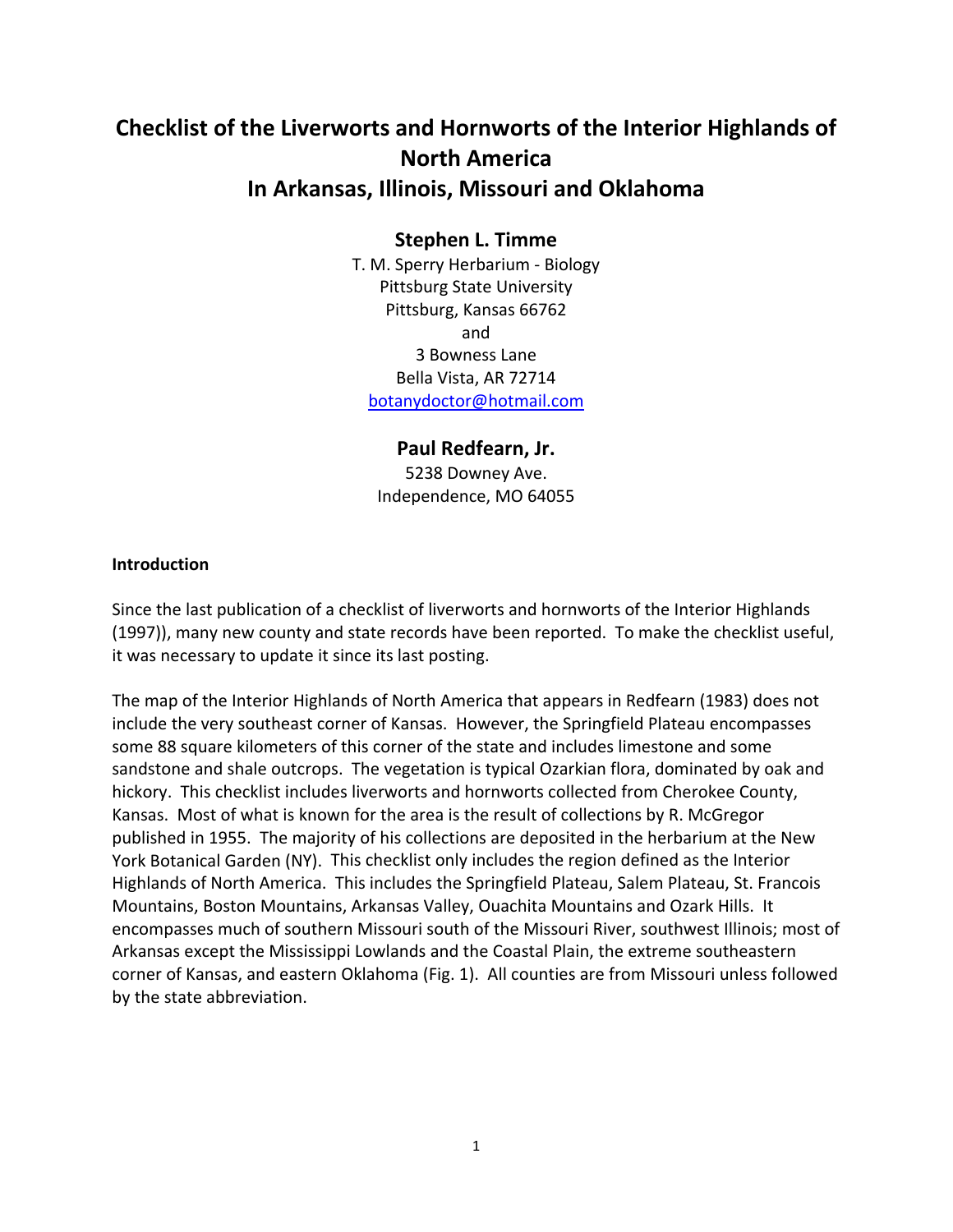# **Checklist of the Liverworts and Hornworts of the Interior Highlands of North America In Arkansas, Illinois, Missouri and Oklahoma**

## **Stephen L. Timme**

T. M. Sperry Herbarium ‐ Biology Pittsburg State University Pittsburg, Kansas 66762 and 3 Bowness Lane Bella Vista, AR 72714 botanydoctor@hotmail.com

> **Paul Redfearn, Jr.** 5238 Downey Ave. Independence, MO 64055

#### **Introduction**

Since the last publication of a checklist of liverworts and hornworts of the Interior Highlands (1997)), many new county and state records have been reported. To make the checklist useful, it was necessary to update it since its last posting.

The map of the Interior Highlands of North America that appears in Redfearn (1983) does not include the very southeast corner of Kansas. However, the Springfield Plateau encompasses some 88 square kilometers of this corner of the state and includes limestone and some sandstone and shale outcrops. The vegetation is typical Ozarkian flora, dominated by oak and hickory. This checklist includes liverworts and hornworts collected from Cherokee County, Kansas. Most of what is known for the area is the result of collections by R. McGregor published in 1955. The majority of his collections are deposited in the herbarium at the New York Botanical Garden (NY). This checklist only includes the region defined as the Interior Highlands of North America. This includes the Springfield Plateau, Salem Plateau, St. Francois Mountains, Boston Mountains, Arkansas Valley, Ouachita Mountains and Ozark Hills. It encompasses much of southern Missouri south of the Missouri River, southwest Illinois; most of Arkansas except the Mississippi Lowlands and the Coastal Plain, the extreme southeastern corner of Kansas, and eastern Oklahoma (Fig. 1). All counties are from Missouri unless followed by the state abbreviation.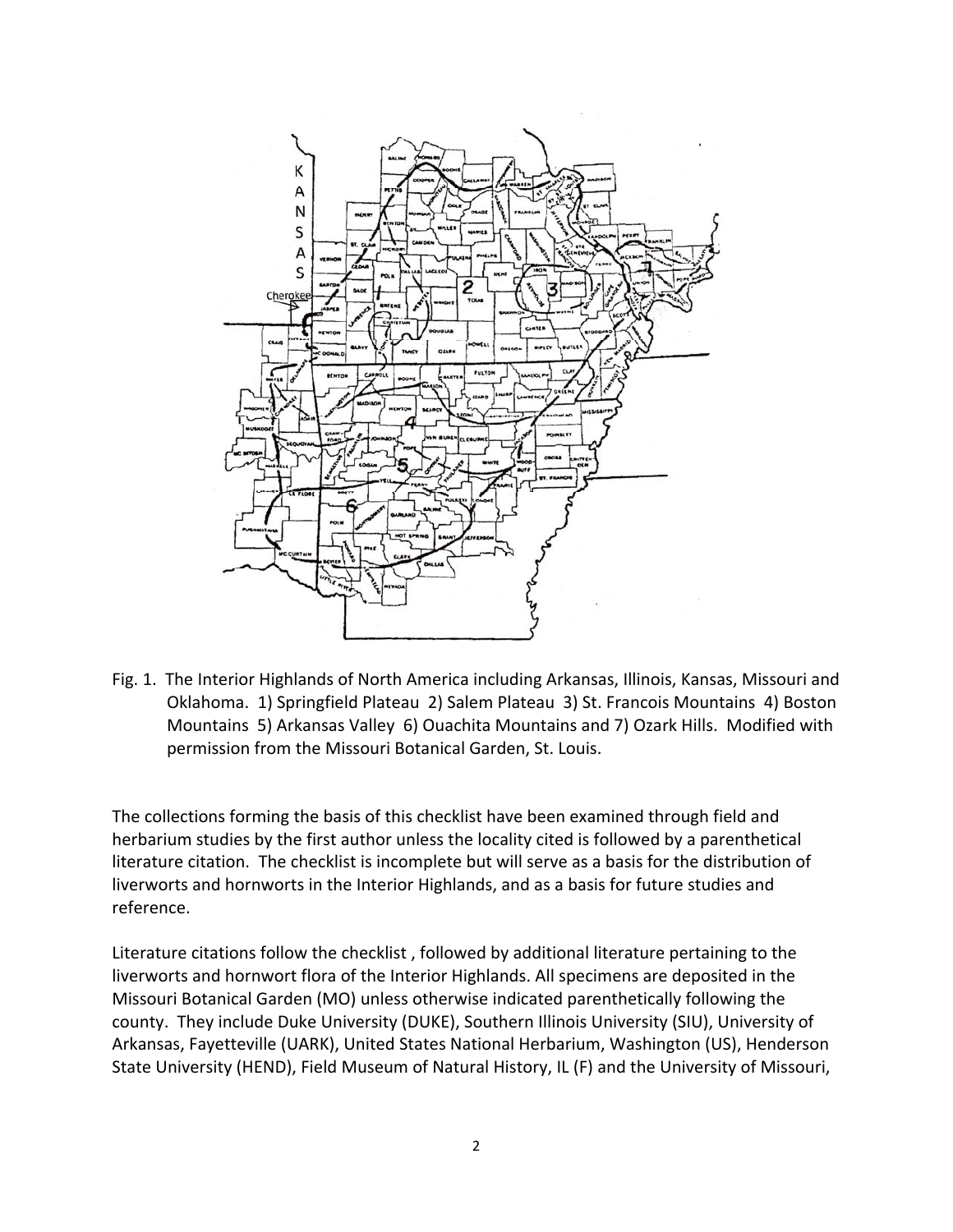

Fig. 1. The Interior Highlands of North America including Arkansas, Illinois, Kansas, Missouri and Oklahoma. 1) Springfield Plateau 2) Salem Plateau 3) St. Francois Mountains 4) Boston Mountains 5) Arkansas Valley 6) Ouachita Mountains and 7) Ozark Hills. Modified with permission from the Missouri Botanical Garden, St. Louis.

The collections forming the basis of this checklist have been examined through field and herbarium studies by the first author unless the locality cited is followed by a parenthetical literature citation. The checklist is incomplete but will serve as a basis for the distribution of liverworts and hornworts in the Interior Highlands, and as a basis for future studies and reference.

Literature citations follow the checklist , followed by additional literature pertaining to the liverworts and hornwort flora of the Interior Highlands. All specimens are deposited in the Missouri Botanical Garden (MO) unless otherwise indicated parenthetically following the county. They include Duke University (DUKE), Southern Illinois University (SIU), University of Arkansas, Fayetteville (UARK), United States National Herbarium, Washington (US), Henderson State University (HEND), Field Museum of Natural History, IL (F) and the University of Missouri,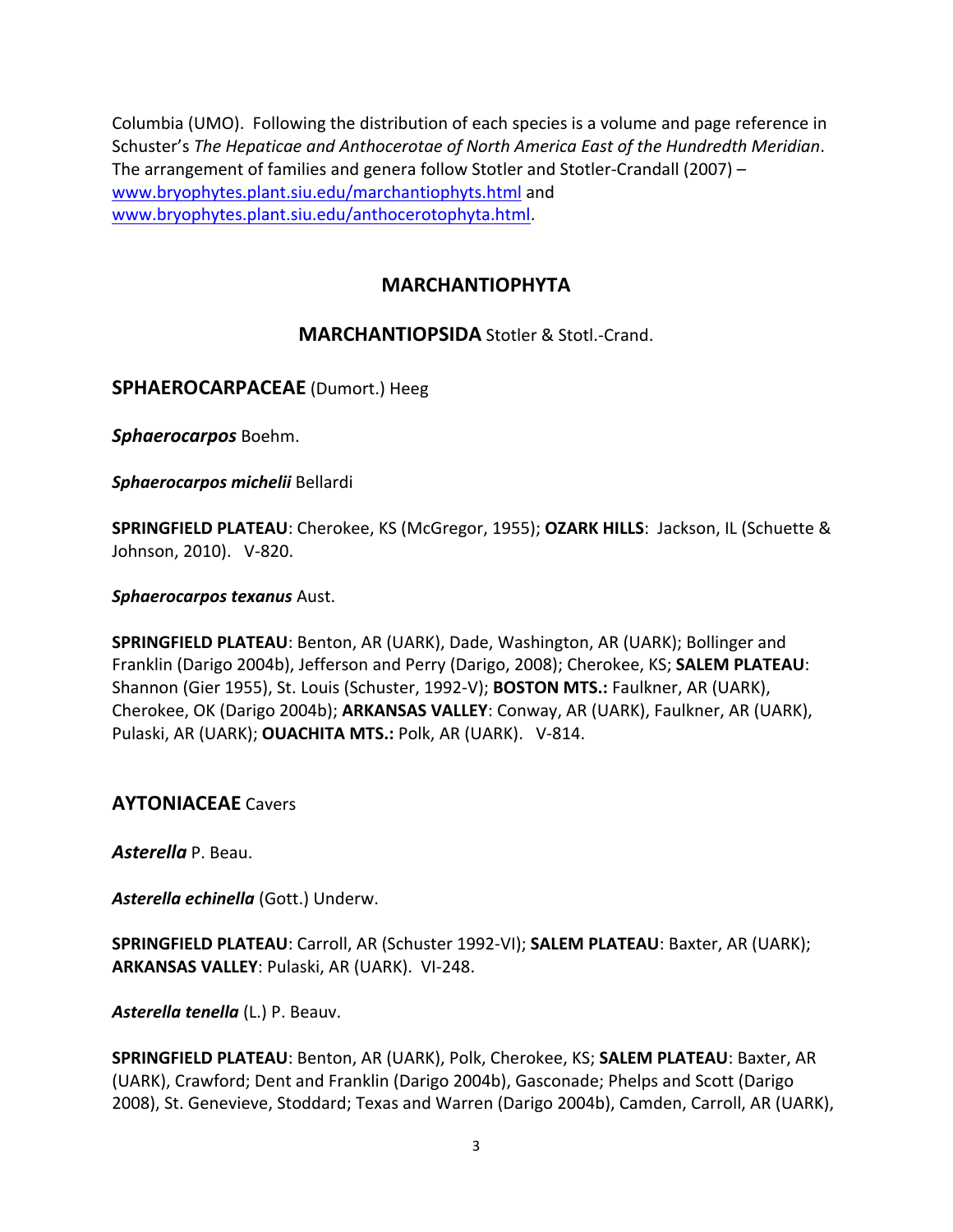Columbia (UMO). Following the distribution of each species is a volume and page reference in Schuster's *The Hepaticae and Anthocerotae of North America East of the Hundredth Meridian*. The arrangement of families and genera follow Stotler and Stotler‐Crandall (2007) – www.bryophytes.plant.siu.edu/marchantiophyts.html and www.bryophytes.plant.siu.edu/anthocerotophyta.html.

# **MARCHANTIOPHYTA**

# **MARCHANTIOPSIDA** Stotler & Stotl.‐Crand.

## **SPHAEROCARPACEAE** (Dumort.) Heeg

*Sphaerocarpos* Boehm.

*Sphaerocarpos michelii* Bellardi

**SPRINGFIELD PLATEAU**: Cherokee, KS (McGregor, 1955); **OZARK HILLS**: Jackson, IL (Schuette & Johnson, 2010). V‐820.

#### *Sphaerocarpos texanus* Aust.

**SPRINGFIELD PLATEAU**: Benton, AR (UARK), Dade, Washington, AR (UARK); Bollinger and Franklin (Darigo 2004b), Jefferson and Perry (Darigo, 2008); Cherokee, KS; **SALEM PLATEAU**: Shannon (Gier 1955), St. Louis (Schuster, 1992‐V); **BOSTON MTS.:** Faulkner, AR (UARK), Cherokee, OK (Darigo 2004b); **ARKANSAS VALLEY**: Conway, AR (UARK), Faulkner, AR (UARK), Pulaski, AR (UARK); **OUACHITA MTS.:** Polk, AR (UARK). V‐814.

#### **AYTONIACEAE** Cavers

*Asterella* P. Beau.

*Asterella echinella* (Gott.) Underw.

**SPRINGFIELD PLATEAU**: Carroll, AR (Schuster 1992‐VI); **SALEM PLATEAU**: Baxter, AR (UARK); **ARKANSAS VALLEY**: Pulaski, AR (UARK). VI‐248.

*Asterella tenella* (L.) P. Beauv.

**SPRINGFIELD PLATEAU**: Benton, AR (UARK), Polk, Cherokee, KS; **SALEM PLATEAU**: Baxter, AR (UARK), Crawford; Dent and Franklin (Darigo 2004b), Gasconade; Phelps and Scott (Darigo 2008), St. Genevieve, Stoddard; Texas and Warren (Darigo 2004b), Camden, Carroll, AR (UARK),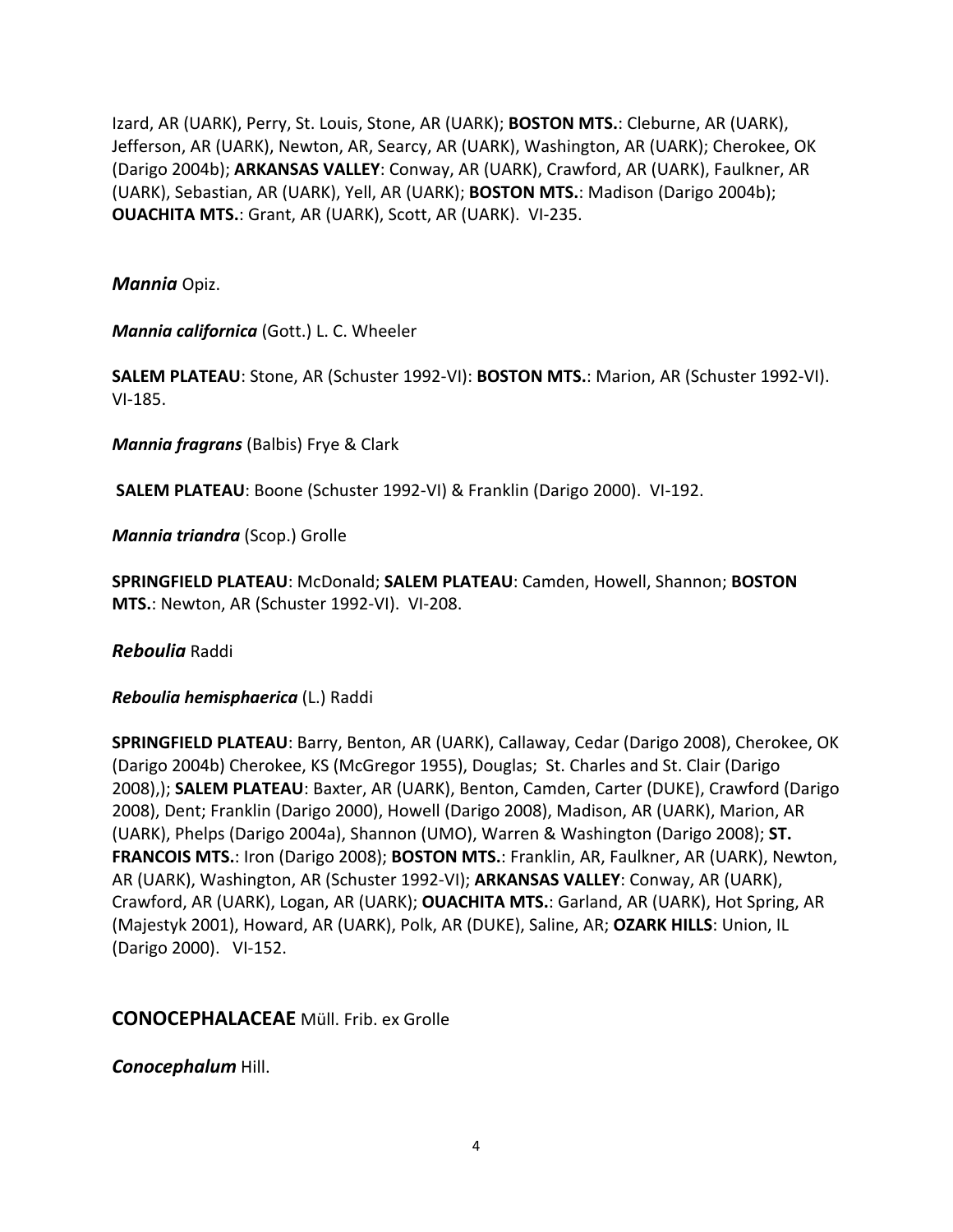Izard, AR (UARK), Perry, St. Louis, Stone, AR (UARK); **BOSTON MTS.**: Cleburne, AR (UARK), Jefferson, AR (UARK), Newton, AR, Searcy, AR (UARK), Washington, AR (UARK); Cherokee, OK (Darigo 2004b); **ARKANSAS VALLEY**: Conway, AR (UARK), Crawford, AR (UARK), Faulkner, AR (UARK), Sebastian, AR (UARK), Yell, AR (UARK); **BOSTON MTS.**: Madison (Darigo 2004b); **OUACHITA MTS.**: Grant, AR (UARK), Scott, AR (UARK). VI‐235.

*Mannia* Opiz.

*Mannia californica* (Gott.) L. C. Wheeler

**SALEM PLATEAU**: Stone, AR (Schuster 1992‐VI): **BOSTON MTS.**: Marion, AR (Schuster 1992‐VI). VI‐185.

*Mannia fragrans* (Balbis) Frye & Clark

**SALEM PLATEAU**: Boone (Schuster 1992‐VI) & Franklin (Darigo 2000). VI‐192.

*Mannia triandra* (Scop.) Grolle

**SPRINGFIELD PLATEAU**: McDonald; **SALEM PLATEAU**: Camden, Howell, Shannon; **BOSTON MTS.**: Newton, AR (Schuster 1992‐VI). VI‐208.

*Reboulia* Raddi

*Reboulia hemisphaerica* (L.) Raddi

**SPRINGFIELD PLATEAU**: Barry, Benton, AR (UARK), Callaway, Cedar (Darigo 2008), Cherokee, OK (Darigo 2004b) Cherokee, KS (McGregor 1955), Douglas; St. Charles and St. Clair (Darigo 2008),); **SALEM PLATEAU**: Baxter, AR (UARK), Benton, Camden, Carter (DUKE), Crawford (Darigo 2008), Dent; Franklin (Darigo 2000), Howell (Darigo 2008), Madison, AR (UARK), Marion, AR (UARK), Phelps (Darigo 2004a), Shannon (UMO), Warren & Washington (Darigo 2008); **ST. FRANCOIS MTS.**: Iron (Darigo 2008); **BOSTON MTS.**: Franklin, AR, Faulkner, AR (UARK), Newton, AR (UARK), Washington, AR (Schuster 1992‐VI); **ARKANSAS VALLEY**: Conway, AR (UARK), Crawford, AR (UARK), Logan, AR (UARK); **OUACHITA MTS.**: Garland, AR (UARK), Hot Spring, AR (Majestyk 2001), Howard, AR (UARK), Polk, AR (DUKE), Saline, AR; **OZARK HILLS**: Union, IL (Darigo 2000). VI‐152.

**CONOCEPHALACEAE** Müll. Frib. ex Grolle

*Conocephalum* Hill.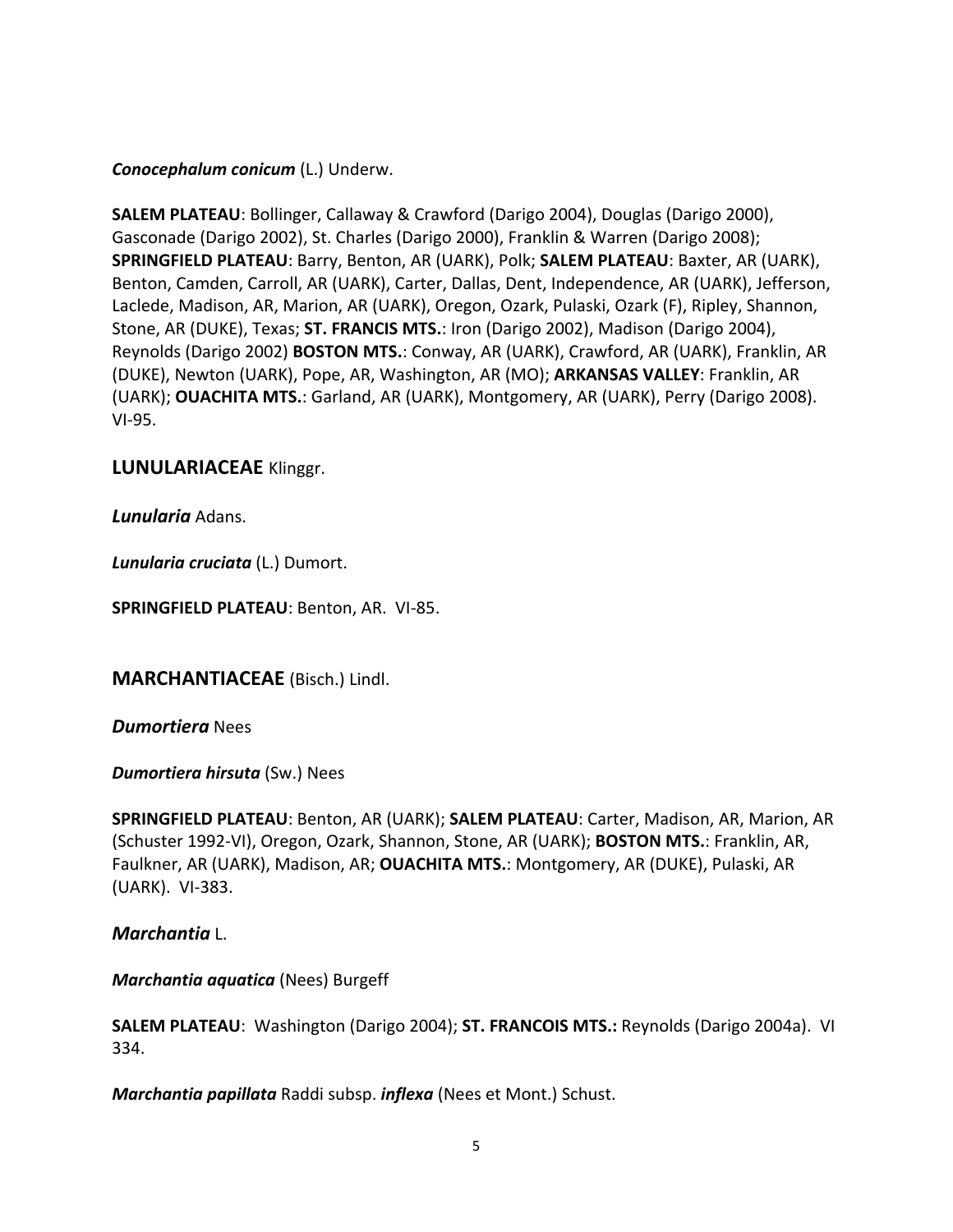### *Conocephalum conicum* (L.) Underw.

**SALEM PLATEAU**: Bollinger, Callaway & Crawford (Darigo 2004), Douglas (Darigo 2000), Gasconade (Darigo 2002), St. Charles (Darigo 2000), Franklin & Warren (Darigo 2008); **SPRINGFIELD PLATEAU**: Barry, Benton, AR (UARK), Polk; **SALEM PLATEAU**: Baxter, AR (UARK), Benton, Camden, Carroll, AR (UARK), Carter, Dallas, Dent, Independence, AR (UARK), Jefferson, Laclede, Madison, AR, Marion, AR (UARK), Oregon, Ozark, Pulaski, Ozark (F), Ripley, Shannon, Stone, AR (DUKE), Texas; **ST. FRANCIS MTS.**: Iron (Darigo 2002), Madison (Darigo 2004), Reynolds (Darigo 2002) **BOSTON MTS.**: Conway, AR (UARK), Crawford, AR (UARK), Franklin, AR (DUKE), Newton (UARK), Pope, AR, Washington, AR (MO); **ARKANSAS VALLEY**: Franklin, AR (UARK); **OUACHITA MTS.**: Garland, AR (UARK), Montgomery, AR (UARK), Perry (Darigo 2008). VI‐95.

## **LUNULARIACEAE** Klinggr.

*Lunularia* Adans.

*Lunularia cruciata* (L.) Dumort.

**SPRINGFIELD PLATEAU**: Benton, AR. VI‐85.

**MARCHANTIACEAE** (Bisch.) Lindl.

*Dumortiera* Nees

*Dumortiera hirsuta* (Sw.) Nees

**SPRINGFIELD PLATEAU**: Benton, AR (UARK); **SALEM PLATEAU**: Carter, Madison, AR, Marion, AR (Schuster 1992‐VI), Oregon, Ozark, Shannon, Stone, AR (UARK); **BOSTON MTS.**: Franklin, AR, Faulkner, AR (UARK), Madison, AR; **OUACHITA MTS.**: Montgomery, AR (DUKE), Pulaski, AR (UARK). VI‐383.

*Marchantia* L.

*Marchantia aquatica* (Nees) Burgeff

**SALEM PLATEAU**: Washington (Darigo 2004); **ST. FRANCOIS MTS.:** Reynolds (Darigo 2004a). VI 334.

*Marchantia papillata* Raddi subsp. *inflexa* (Nees et Mont.) Schust.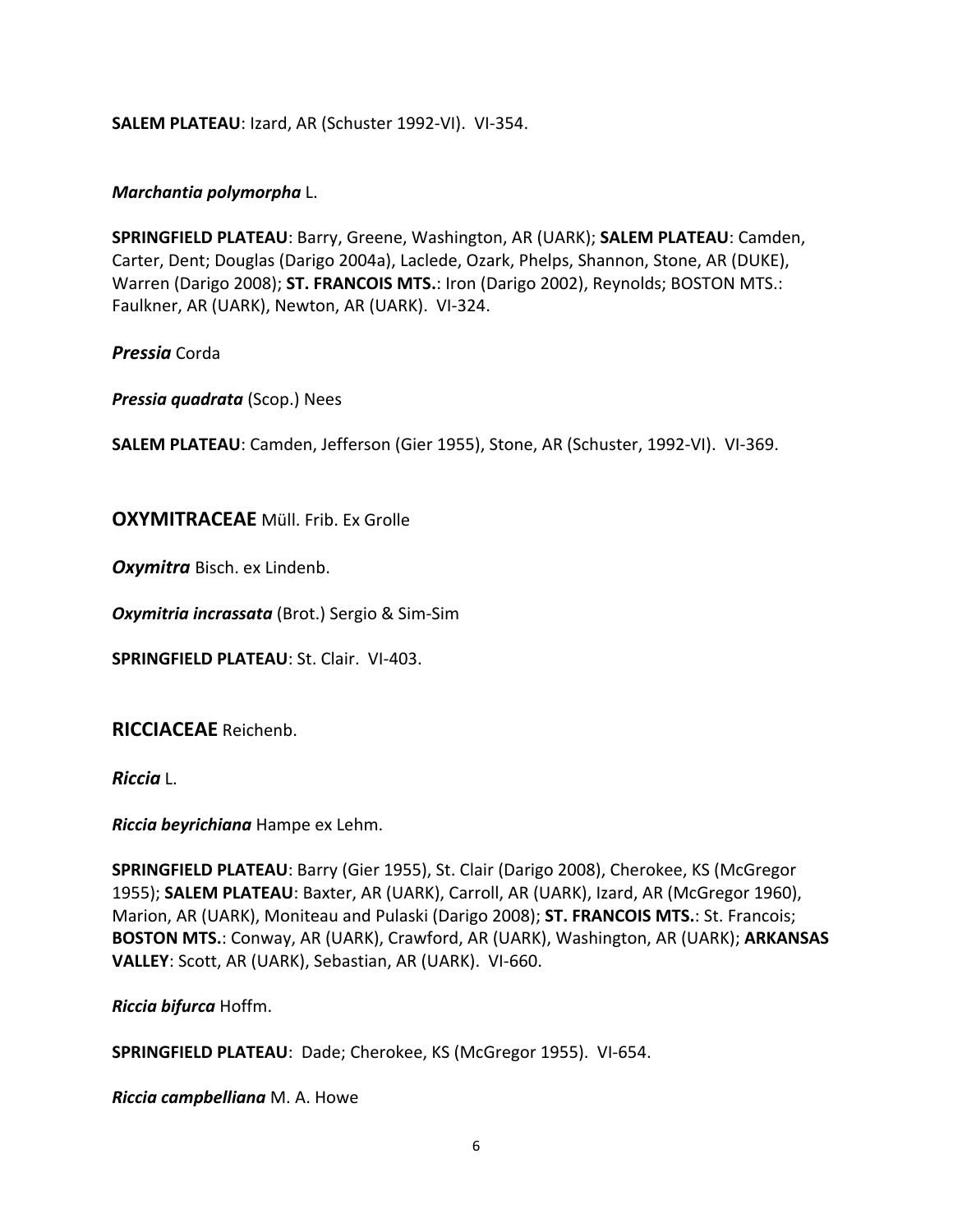**SALEM PLATEAU**: Izard, AR (Schuster 1992‐VI). VI‐354.

#### *Marchantia polymorpha* L.

**SPRINGFIELD PLATEAU**: Barry, Greene, Washington, AR (UARK); **SALEM PLATEAU**: Camden, Carter, Dent; Douglas (Darigo 2004a), Laclede, Ozark, Phelps, Shannon, Stone, AR (DUKE), Warren (Darigo 2008); **ST. FRANCOIS MTS.**: Iron (Darigo 2002), Reynolds; BOSTON MTS.: Faulkner, AR (UARK), Newton, AR (UARK). VI‐324.

*Pressia* Corda

*Pressia quadrata* (Scop.) Nees

**SALEM PLATEAU**: Camden, Jefferson (Gier 1955), Stone, AR (Schuster, 1992‐VI). VI‐369.

## **OXYMITRACEAE** Müll. Frib. Ex Grolle

*Oxymitra* Bisch. ex Lindenb.

*Oxymitria incrassata* (Brot.) Sergio & Sim‐Sim

**SPRINGFIELD PLATEAU**: St. Clair. VI‐403.

**RICCIACEAE** Reichenb.

*Riccia* L.

*Riccia beyrichiana* Hampe ex Lehm.

**SPRINGFIELD PLATEAU**: Barry (Gier 1955), St. Clair (Darigo 2008), Cherokee, KS (McGregor 1955); **SALEM PLATEAU**: Baxter, AR (UARK), Carroll, AR (UARK), Izard, AR (McGregor 1960), Marion, AR (UARK), Moniteau and Pulaski (Darigo 2008); **ST. FRANCOIS MTS.**: St. Francois; **BOSTON MTS.**: Conway, AR (UARK), Crawford, AR (UARK), Washington, AR (UARK); **ARKANSAS VALLEY**: Scott, AR (UARK), Sebastian, AR (UARK). VI‐660.

*Riccia bifurca* Hoffm.

**SPRINGFIELD PLATEAU**: Dade; Cherokee, KS (McGregor 1955). VI‐654.

*Riccia campbelliana* M. A. Howe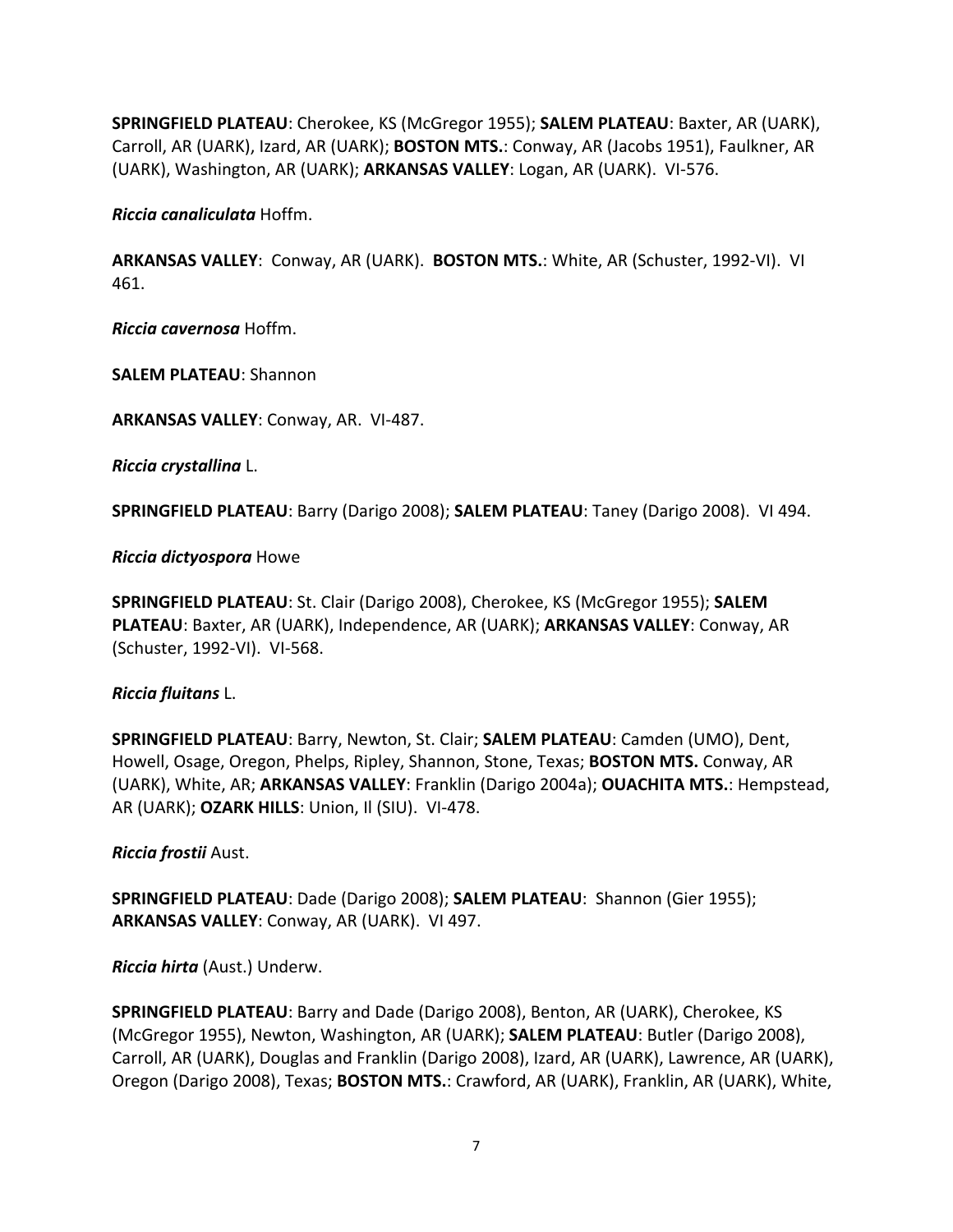**SPRINGFIELD PLATEAU**: Cherokee, KS (McGregor 1955); **SALEM PLATEAU**: Baxter, AR (UARK), Carroll, AR (UARK), Izard, AR (UARK); **BOSTON MTS.**: Conway, AR (Jacobs 1951), Faulkner, AR (UARK), Washington, AR (UARK); **ARKANSAS VALLEY**: Logan, AR (UARK). VI‐576.

#### *Riccia canaliculata* Hoffm.

**ARKANSAS VALLEY**: Conway, AR (UARK). **BOSTON MTS.**: White, AR (Schuster, 1992‐VI). VI 461.

*Riccia cavernosa* Hoffm.

**SALEM PLATEAU**: Shannon

**ARKANSAS VALLEY**: Conway, AR. VI‐487.

*Riccia crystallina* L.

**SPRINGFIELD PLATEAU**: Barry (Darigo 2008); **SALEM PLATEAU**: Taney (Darigo 2008). VI 494.

*Riccia dictyospora* Howe

**SPRINGFIELD PLATEAU**: St. Clair (Darigo 2008), Cherokee, KS (McGregor 1955); **SALEM PLATEAU**: Baxter, AR (UARK), Independence, AR (UARK); **ARKANSAS VALLEY**: Conway, AR (Schuster, 1992‐VI). VI‐568.

#### *Riccia fluitans* L.

**SPRINGFIELD PLATEAU**: Barry, Newton, St. Clair; **SALEM PLATEAU**: Camden (UMO), Dent, Howell, Osage, Oregon, Phelps, Ripley, Shannon, Stone, Texas; **BOSTON MTS.** Conway, AR (UARK), White, AR; **ARKANSAS VALLEY**: Franklin (Darigo 2004a); **OUACHITA MTS.**: Hempstead, AR (UARK); **OZARK HILLS**: Union, Il (SIU). VI‐478.

#### *Riccia frostii* Aust.

**SPRINGFIELD PLATEAU**: Dade (Darigo 2008); **SALEM PLATEAU**: Shannon (Gier 1955); **ARKANSAS VALLEY**: Conway, AR (UARK). VI 497.

*Riccia hirta* (Aust.) Underw.

**SPRINGFIELD PLATEAU**: Barry and Dade (Darigo 2008), Benton, AR (UARK), Cherokee, KS (McGregor 1955), Newton, Washington, AR (UARK); **SALEM PLATEAU**: Butler (Darigo 2008), Carroll, AR (UARK), Douglas and Franklin (Darigo 2008), Izard, AR (UARK), Lawrence, AR (UARK), Oregon (Darigo 2008), Texas; **BOSTON MTS.**: Crawford, AR (UARK), Franklin, AR (UARK), White,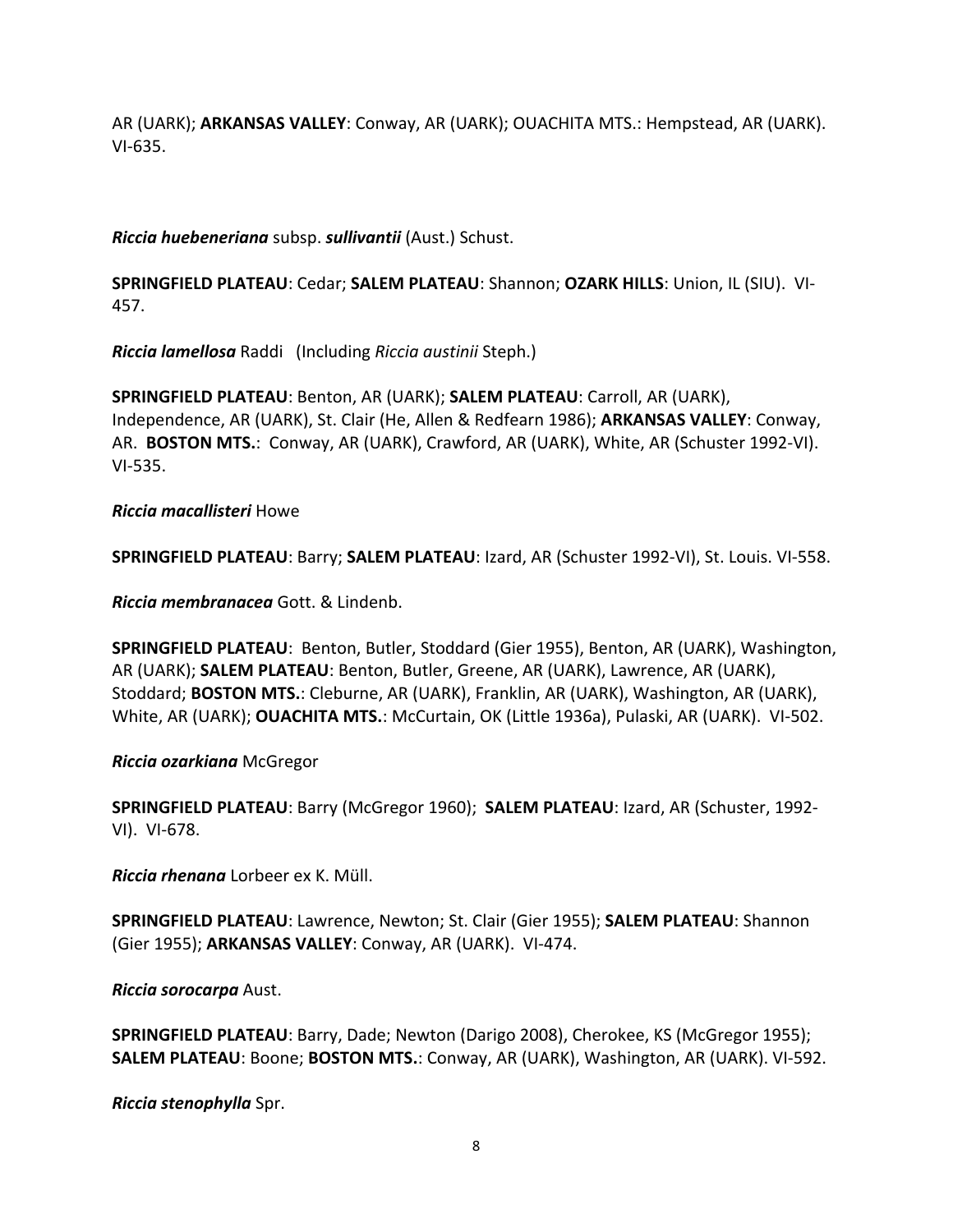AR (UARK); **ARKANSAS VALLEY**: Conway, AR (UARK); OUACHITA MTS.: Hempstead, AR (UARK). VI‐635.

*Riccia huebeneriana* subsp. *sullivantii* (Aust.) Schust.

**SPRINGFIELD PLATEAU**: Cedar; **SALEM PLATEAU**: Shannon; **OZARK HILLS**: Union, IL (SIU). VI‐ 457.

*Riccia lamellosa* Raddi (Including *Riccia austinii* Steph.)

**SPRINGFIELD PLATEAU**: Benton, AR (UARK); **SALEM PLATEAU**: Carroll, AR (UARK), Independence, AR (UARK), St. Clair (He, Allen & Redfearn 1986); **ARKANSAS VALLEY**: Conway, AR. **BOSTON MTS.**: Conway, AR (UARK), Crawford, AR (UARK), White, AR (Schuster 1992‐VI). VI‐535.

*Riccia macallisteri* Howe

**SPRINGFIELD PLATEAU**: Barry; **SALEM PLATEAU**: Izard, AR (Schuster 1992‐VI), St. Louis. VI‐558.

*Riccia membranacea* Gott. & Lindenb.

**SPRINGFIELD PLATEAU**: Benton, Butler, Stoddard (Gier 1955), Benton, AR (UARK), Washington, AR (UARK); **SALEM PLATEAU**: Benton, Butler, Greene, AR (UARK), Lawrence, AR (UARK), Stoddard; **BOSTON MTS.**: Cleburne, AR (UARK), Franklin, AR (UARK), Washington, AR (UARK), White, AR (UARK); **OUACHITA MTS.**: McCurtain, OK (Little 1936a), Pulaski, AR (UARK). VI‐502.

*Riccia ozarkiana* McGregor

**SPRINGFIELD PLATEAU**: Barry (McGregor 1960); **SALEM PLATEAU**: Izard, AR (Schuster, 1992‐ VI). VI‐678.

*Riccia rhenana* Lorbeer ex K. Müll.

**SPRINGFIELD PLATEAU**: Lawrence, Newton; St. Clair (Gier 1955); **SALEM PLATEAU**: Shannon (Gier 1955); **ARKANSAS VALLEY**: Conway, AR (UARK). VI‐474.

*Riccia sorocarpa* Aust.

**SPRINGFIELD PLATEAU**: Barry, Dade; Newton (Darigo 2008), Cherokee, KS (McGregor 1955); **SALEM PLATEAU**: Boone; **BOSTON MTS.**: Conway, AR (UARK), Washington, AR (UARK). VI‐592.

*Riccia stenophylla* Spr.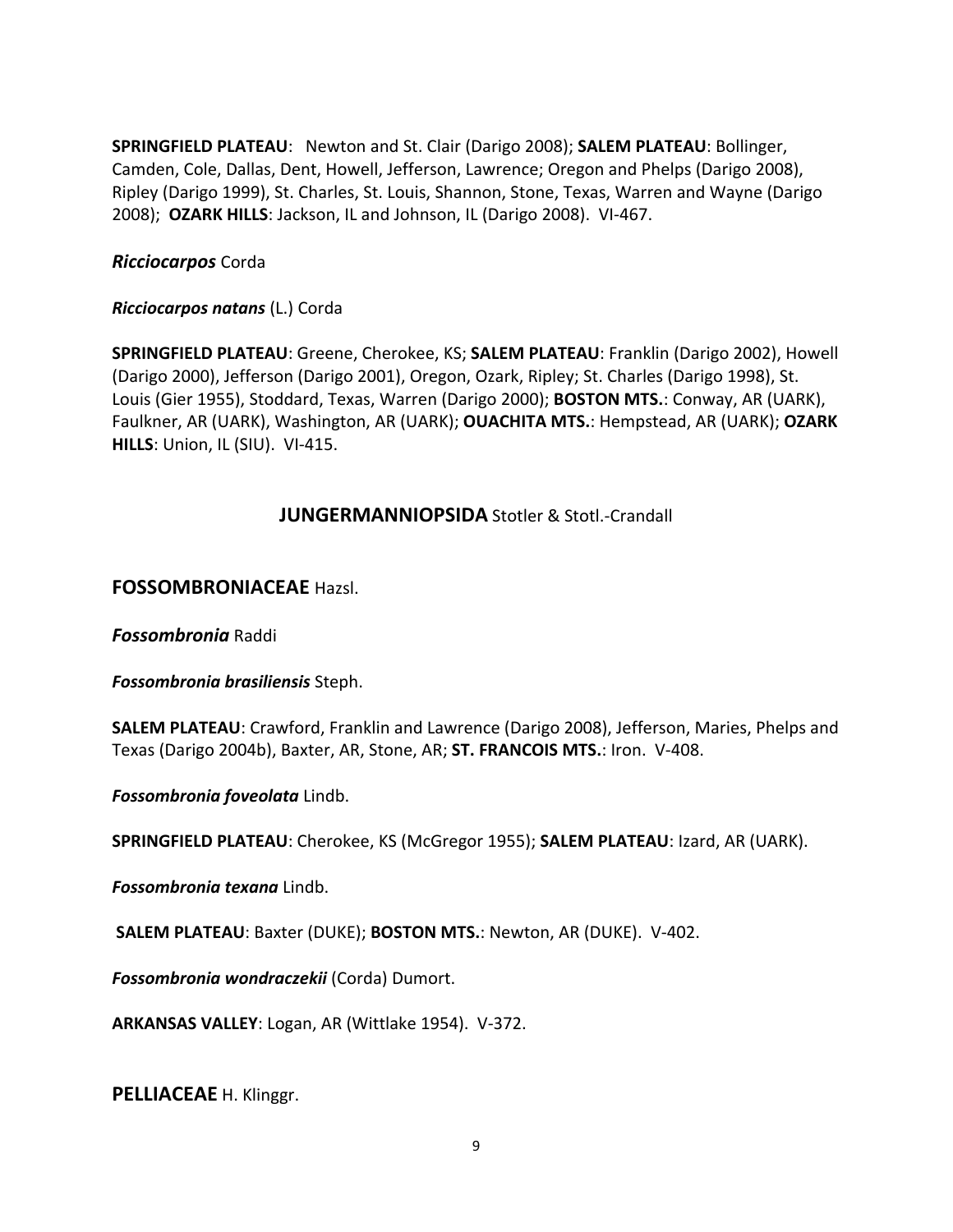**SPRINGFIELD PLATEAU**: Newton and St. Clair (Darigo 2008); **SALEM PLATEAU**: Bollinger, Camden, Cole, Dallas, Dent, Howell, Jefferson, Lawrence; Oregon and Phelps (Darigo 2008), Ripley (Darigo 1999), St. Charles, St. Louis, Shannon, Stone, Texas, Warren and Wayne (Darigo 2008); **OZARK HILLS**: Jackson, IL and Johnson, IL (Darigo 2008). VI‐467.

### *Ricciocarpos* Corda

#### *Ricciocarpos natans* (L.) Corda

**SPRINGFIELD PLATEAU**: Greene, Cherokee, KS; **SALEM PLATEAU**: Franklin (Darigo 2002), Howell (Darigo 2000), Jefferson (Darigo 2001), Oregon, Ozark, Ripley; St. Charles (Darigo 1998), St. Louis (Gier 1955), Stoddard, Texas, Warren (Darigo 2000); **BOSTON MTS.**: Conway, AR (UARK), Faulkner, AR (UARK), Washington, AR (UARK); **OUACHITA MTS.**: Hempstead, AR (UARK); **OZARK HILLS**: Union, IL (SIU). VI‐415.

## **JUNGERMANNIOPSIDA** Stotler & Stotl.‐Crandall

## **FOSSOMBRONIACEAE** Hazsl.

*Fossombronia* Raddi

*Fossombronia brasiliensis* Steph.

**SALEM PLATEAU**: Crawford, Franklin and Lawrence (Darigo 2008), Jefferson, Maries, Phelps and Texas (Darigo 2004b), Baxter, AR, Stone, AR; **ST. FRANCOIS MTS.**: Iron. V‐408.

*Fossombronia foveolata* Lindb.

**SPRINGFIELD PLATEAU**: Cherokee, KS (McGregor 1955); **SALEM PLATEAU**: Izard, AR (UARK).

*Fossombronia texana* Lindb.

**SALEM PLATEAU**: Baxter (DUKE); **BOSTON MTS.**: Newton, AR (DUKE). V‐402.

*Fossombronia wondraczekii* (Corda) Dumort.

**ARKANSAS VALLEY**: Logan, AR (Wittlake 1954). V‐372.

**PELLIACEAE** H. Klinggr.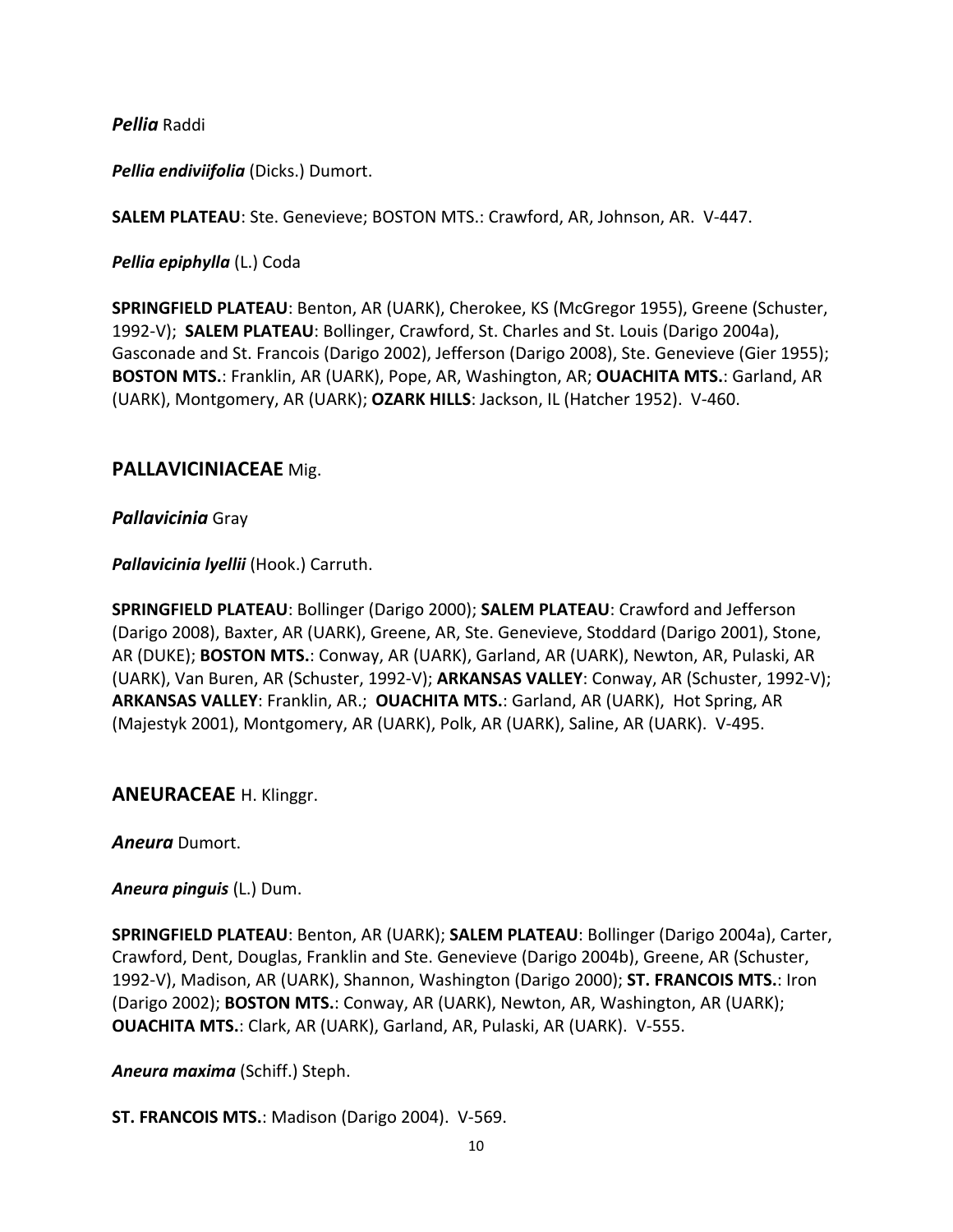*Pellia* Raddi

*Pellia endiviifolia* (Dicks.) Dumort.

**SALEM PLATEAU**: Ste. Genevieve; BOSTON MTS.: Crawford, AR, Johnson, AR. V‐447.

*Pellia epiphylla* (L.) Coda

**SPRINGFIELD PLATEAU**: Benton, AR (UARK), Cherokee, KS (McGregor 1955), Greene (Schuster, 1992‐V); **SALEM PLATEAU**: Bollinger, Crawford, St. Charles and St. Louis (Darigo 2004a), Gasconade and St. Francois (Darigo 2002), Jefferson (Darigo 2008), Ste. Genevieve (Gier 1955); **BOSTON MTS.**: Franklin, AR (UARK), Pope, AR, Washington, AR; **OUACHITA MTS.**: Garland, AR (UARK), Montgomery, AR (UARK); **OZARK HILLS**: Jackson, IL (Hatcher 1952). V‐460.

## **PALLAVICINIACEAE** Mig.

#### *Pallavicinia* Gray

*Pallavicinia lyellii* (Hook.) Carruth.

**SPRINGFIELD PLATEAU**: Bollinger (Darigo 2000); **SALEM PLATEAU**: Crawford and Jefferson (Darigo 2008), Baxter, AR (UARK), Greene, AR, Ste. Genevieve, Stoddard (Darigo 2001), Stone, AR (DUKE); **BOSTON MTS.**: Conway, AR (UARK), Garland, AR (UARK), Newton, AR, Pulaski, AR (UARK), Van Buren, AR (Schuster, 1992‐V); **ARKANSAS VALLEY**: Conway, AR (Schuster, 1992‐V); **ARKANSAS VALLEY**: Franklin, AR.; **OUACHITA MTS.**: Garland, AR (UARK), Hot Spring, AR (Majestyk 2001), Montgomery, AR (UARK), Polk, AR (UARK), Saline, AR (UARK). V‐495.

**ANEURACEAE** H. Klinggr.

*Aneura* Dumort.

*Aneura pinguis* (L.) Dum.

**SPRINGFIELD PLATEAU**: Benton, AR (UARK); **SALEM PLATEAU**: Bollinger (Darigo 2004a), Carter, Crawford, Dent, Douglas, Franklin and Ste. Genevieve (Darigo 2004b), Greene, AR (Schuster, 1992‐V), Madison, AR (UARK), Shannon, Washington (Darigo 2000); **ST. FRANCOIS MTS.**: Iron (Darigo 2002); **BOSTON MTS.**: Conway, AR (UARK), Newton, AR, Washington, AR (UARK); **OUACHITA MTS.**: Clark, AR (UARK), Garland, AR, Pulaski, AR (UARK). V‐555.

*Aneura maxima* (Schiff.) Steph.

**ST. FRANCOIS MTS.**: Madison (Darigo 2004). V‐569.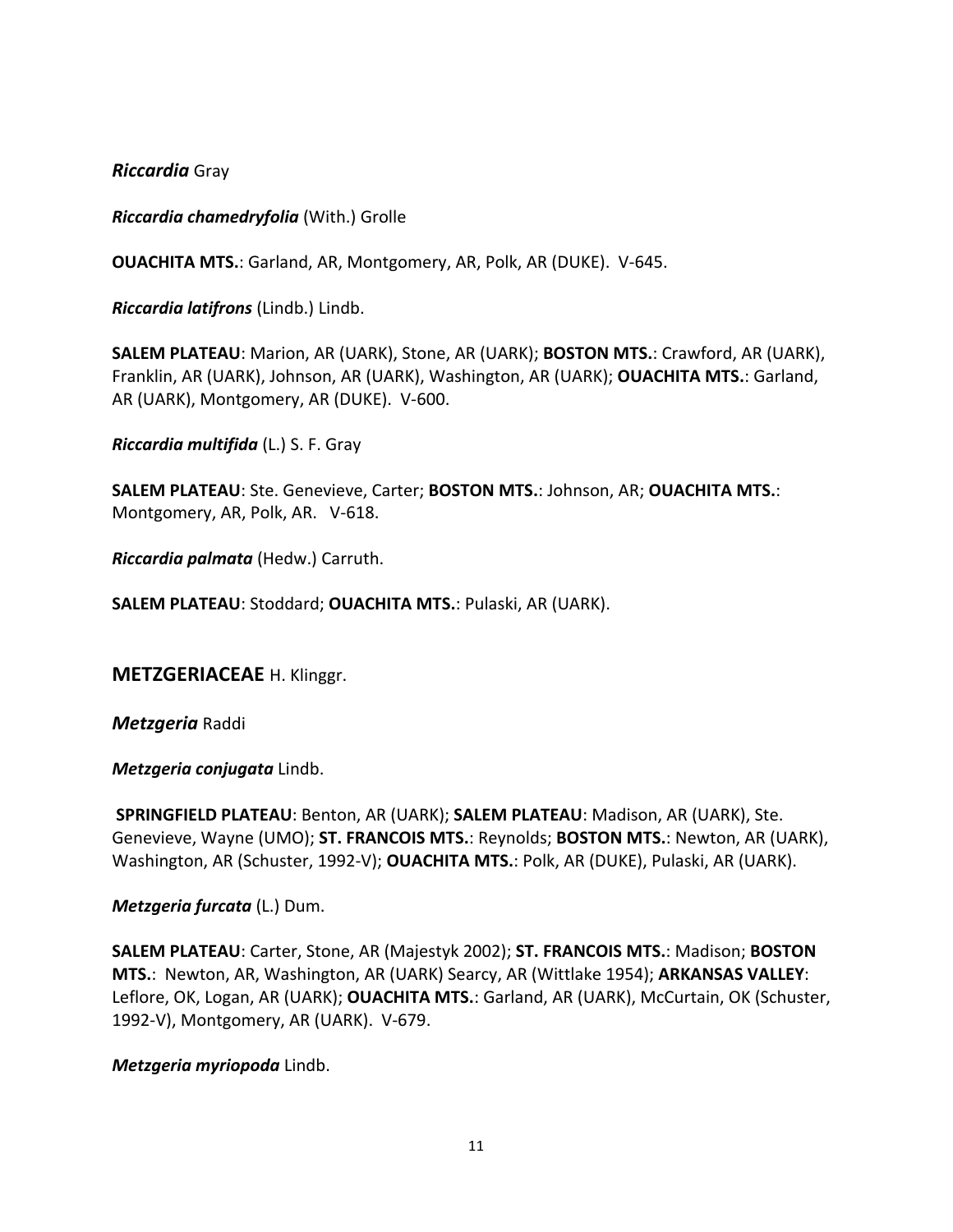### *Riccardia* Gray

*Riccardia chamedryfolia* (With.) Grolle

**OUACHITA MTS.**: Garland, AR, Montgomery, AR, Polk, AR (DUKE). V‐645.

*Riccardia latifrons* (Lindb.) Lindb.

**SALEM PLATEAU**: Marion, AR (UARK), Stone, AR (UARK); **BOSTON MTS.**: Crawford, AR (UARK), Franklin, AR (UARK), Johnson, AR (UARK), Washington, AR (UARK); **OUACHITA MTS.**: Garland, AR (UARK), Montgomery, AR (DUKE). V‐600.

*Riccardia multifida* (L.) S. F. Gray

**SALEM PLATEAU**: Ste. Genevieve, Carter; **BOSTON MTS.**: Johnson, AR; **OUACHITA MTS.**: Montgomery, AR, Polk, AR. V‐618.

*Riccardia palmata* (Hedw.) Carruth.

**SALEM PLATEAU**: Stoddard; **OUACHITA MTS.**: Pulaski, AR (UARK).

**METZGERIACEAE** H. Klinggr.

*Metzgeria* Raddi

*Metzgeria conjugata* Lindb.

**SPRINGFIELD PLATEAU**: Benton, AR (UARK); **SALEM PLATEAU**: Madison, AR (UARK), Ste. Genevieve, Wayne (UMO); **ST. FRANCOIS MTS.**: Reynolds; **BOSTON MTS.**: Newton, AR (UARK), Washington, AR (Schuster, 1992‐V); **OUACHITA MTS.**: Polk, AR (DUKE), Pulaski, AR (UARK).

#### *Metzgeria furcata* (L.) Dum.

**SALEM PLATEAU**: Carter, Stone, AR (Majestyk 2002); **ST. FRANCOIS MTS.**: Madison; **BOSTON MTS.**: Newton, AR, Washington, AR (UARK) Searcy, AR (Wittlake 1954); **ARKANSAS VALLEY**: Leflore, OK, Logan, AR (UARK); **OUACHITA MTS.**: Garland, AR (UARK), McCurtain, OK (Schuster, 1992‐V), Montgomery, AR (UARK). V‐679.

#### *Metzgeria myriopoda* Lindb.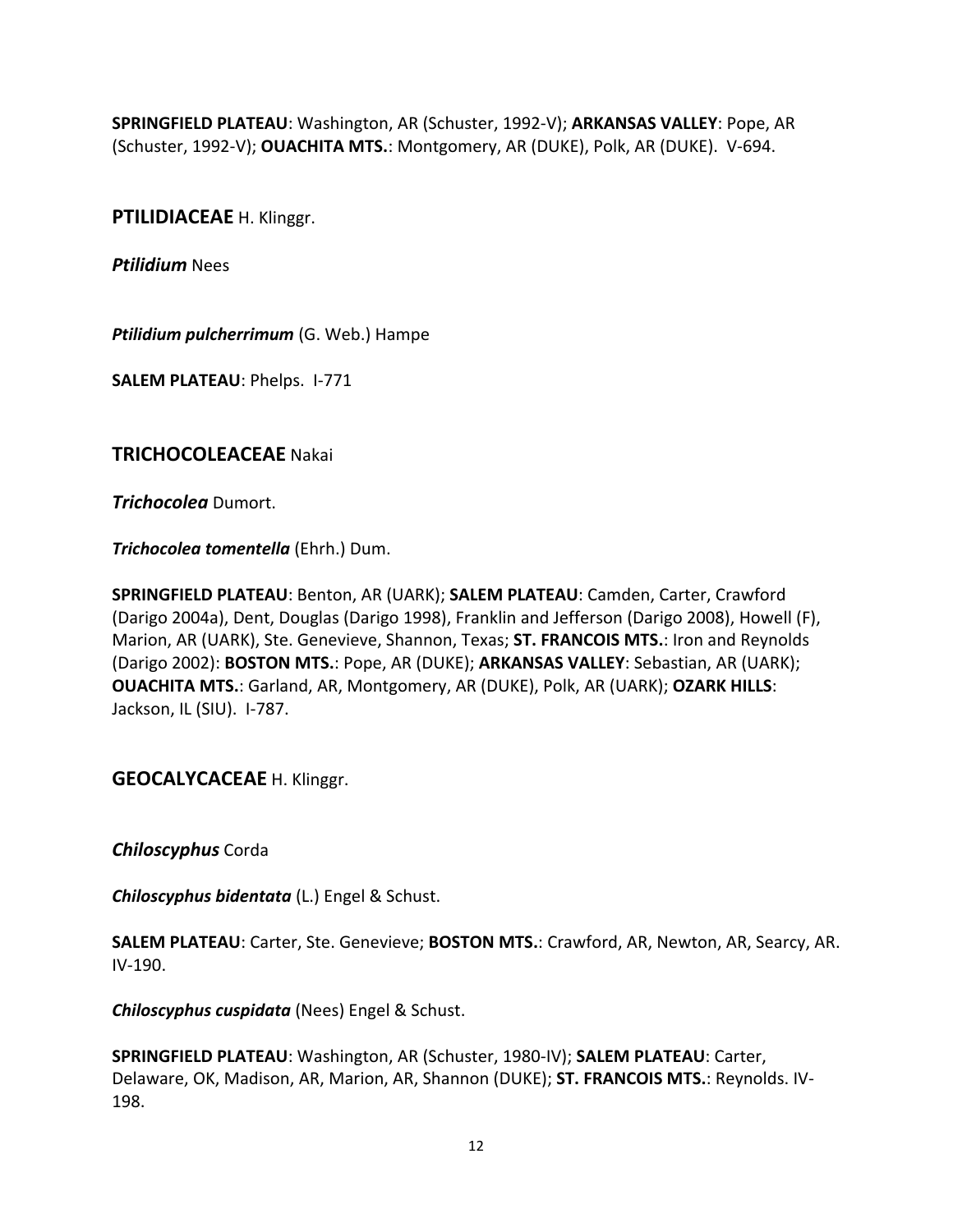**SPRINGFIELD PLATEAU**: Washington, AR (Schuster, 1992‐V); **ARKANSAS VALLEY**: Pope, AR (Schuster, 1992‐V); **OUACHITA MTS.**: Montgomery, AR (DUKE), Polk, AR (DUKE). V‐694.

**PTILIDIACEAE** H. Klinggr.

*Ptilidium* Nees

*Ptilidium pulcherrimum* (G. Web.) Hampe

**SALEM PLATEAU**: Phelps. I‐771

**TRICHOCOLEACEAE** Nakai

*Trichocolea* Dumort.

*Trichocolea tomentella* (Ehrh.) Dum.

**SPRINGFIELD PLATEAU**: Benton, AR (UARK); **SALEM PLATEAU**: Camden, Carter, Crawford (Darigo 2004a), Dent, Douglas (Darigo 1998), Franklin and Jefferson (Darigo 2008), Howell (F), Marion, AR (UARK), Ste. Genevieve, Shannon, Texas; **ST. FRANCOIS MTS.**: Iron and Reynolds (Darigo 2002): **BOSTON MTS.**: Pope, AR (DUKE); **ARKANSAS VALLEY**: Sebastian, AR (UARK); **OUACHITA MTS.**: Garland, AR, Montgomery, AR (DUKE), Polk, AR (UARK); **OZARK HILLS**: Jackson, IL (SIU). I‐787.

**GEOCALYCACEAE** H. Klinggr.

*Chiloscyphus* Corda

*Chiloscyphus bidentata* (L.) Engel & Schust.

**SALEM PLATEAU**: Carter, Ste. Genevieve; **BOSTON MTS.**: Crawford, AR, Newton, AR, Searcy, AR. IV‐190.

*Chiloscyphus cuspidata* (Nees) Engel & Schust.

**SPRINGFIELD PLATEAU**: Washington, AR (Schuster, 1980‐IV); **SALEM PLATEAU**: Carter, Delaware, OK, Madison, AR, Marion, AR, Shannon (DUKE); **ST. FRANCOIS MTS.**: Reynolds. IV‐ 198.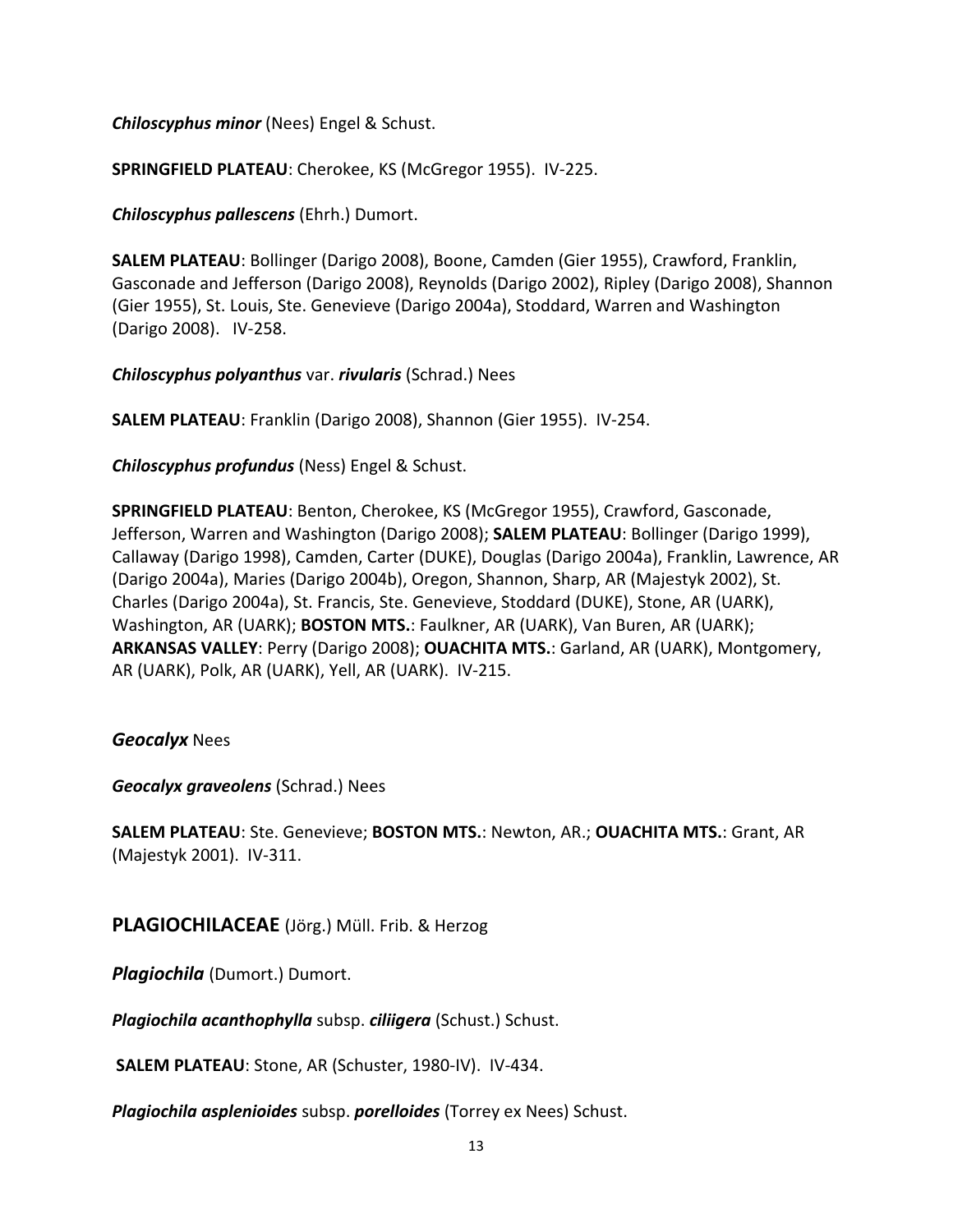*Chiloscyphus minor* (Nees) Engel & Schust.

**SPRINGFIELD PLATEAU**: Cherokee, KS (McGregor 1955). IV‐225.

*Chiloscyphus pallescens* (Ehrh.) Dumort.

**SALEM PLATEAU**: Bollinger (Darigo 2008), Boone, Camden (Gier 1955), Crawford, Franklin, Gasconade and Jefferson (Darigo 2008), Reynolds (Darigo 2002), Ripley (Darigo 2008), Shannon (Gier 1955), St. Louis, Ste. Genevieve (Darigo 2004a), Stoddard, Warren and Washington (Darigo 2008). IV‐258.

*Chiloscyphus polyanthus* var. *rivularis* (Schrad.) Nees

**SALEM PLATEAU**: Franklin (Darigo 2008), Shannon (Gier 1955). IV‐254.

*Chiloscyphus profundus* (Ness) Engel & Schust.

**SPRINGFIELD PLATEAU**: Benton, Cherokee, KS (McGregor 1955), Crawford, Gasconade, Jefferson, Warren and Washington (Darigo 2008); **SALEM PLATEAU**: Bollinger (Darigo 1999), Callaway (Darigo 1998), Camden, Carter (DUKE), Douglas (Darigo 2004a), Franklin, Lawrence, AR (Darigo 2004a), Maries (Darigo 2004b), Oregon, Shannon, Sharp, AR (Majestyk 2002), St. Charles (Darigo 2004a), St. Francis, Ste. Genevieve, Stoddard (DUKE), Stone, AR (UARK), Washington, AR (UARK); **BOSTON MTS.**: Faulkner, AR (UARK), Van Buren, AR (UARK); **ARKANSAS VALLEY**: Perry (Darigo 2008); **OUACHITA MTS.**: Garland, AR (UARK), Montgomery, AR (UARK), Polk, AR (UARK), Yell, AR (UARK). IV‐215.

## *Geocalyx* Nees

*Geocalyx graveolens* (Schrad.) Nees

**SALEM PLATEAU**: Ste. Genevieve; **BOSTON MTS.**: Newton, AR.; **OUACHITA MTS.**: Grant, AR (Majestyk 2001). IV‐311.

## **PLAGIOCHILACEAE** (Jörg.) Müll. Frib. & Herzog

*Plagiochila* (Dumort.) Dumort.

*Plagiochila acanthophylla* subsp. *ciliigera* (Schust.) Schust.

**SALEM PLATEAU**: Stone, AR (Schuster, 1980‐IV). IV‐434.

*Plagiochila asplenioides* subsp. *porelloides* (Torrey ex Nees) Schust.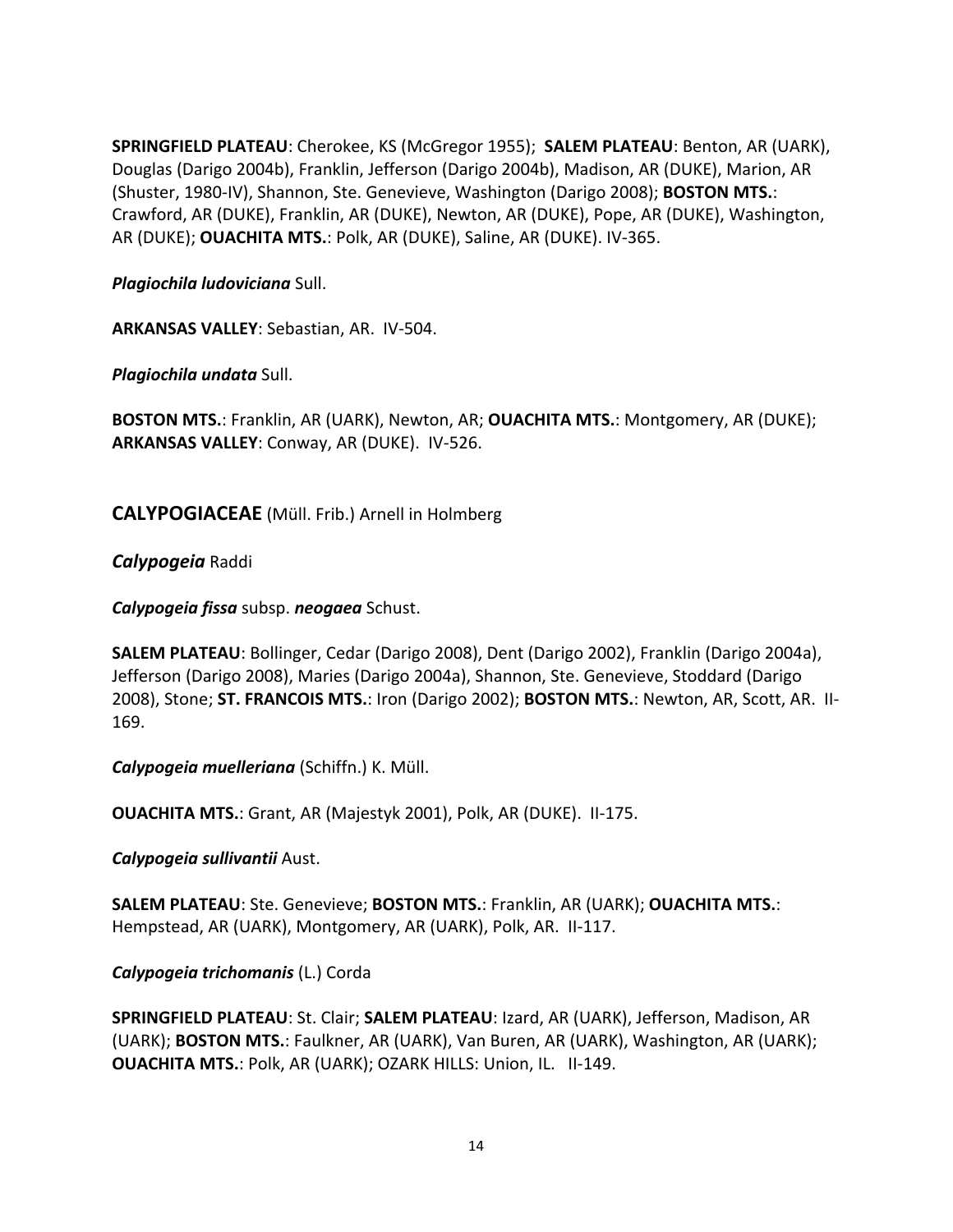**SPRINGFIELD PLATEAU**: Cherokee, KS (McGregor 1955); **SALEM PLATEAU**: Benton, AR (UARK), Douglas (Darigo 2004b), Franklin, Jefferson (Darigo 2004b), Madison, AR (DUKE), Marion, AR (Shuster, 1980‐IV), Shannon, Ste. Genevieve, Washington (Darigo 2008); **BOSTON MTS.**: Crawford, AR (DUKE), Franklin, AR (DUKE), Newton, AR (DUKE), Pope, AR (DUKE), Washington, AR (DUKE); **OUACHITA MTS.**: Polk, AR (DUKE), Saline, AR (DUKE). IV‐365.

*Plagiochila ludoviciana* Sull.

**ARKANSAS VALLEY**: Sebastian, AR. IV‐504.

*Plagiochila undata* Sull.

**BOSTON MTS.**: Franklin, AR (UARK), Newton, AR; **OUACHITA MTS.**: Montgomery, AR (DUKE); **ARKANSAS VALLEY**: Conway, AR (DUKE). IV‐526.

**CALYPOGIACEAE** (Müll. Frib.) Arnell in Holmberg

*Calypogeia* Raddi

*Calypogeia fissa* subsp. *neogaea* Schust.

**SALEM PLATEAU**: Bollinger, Cedar (Darigo 2008), Dent (Darigo 2002), Franklin (Darigo 2004a), Jefferson (Darigo 2008), Maries (Darigo 2004a), Shannon, Ste. Genevieve, Stoddard (Darigo 2008), Stone; **ST. FRANCOIS MTS.**: Iron (Darigo 2002); **BOSTON MTS.**: Newton, AR, Scott, AR. II‐ 169.

*Calypogeia muelleriana* (Schiffn.) K. Müll.

**OUACHITA MTS.**: Grant, AR (Majestyk 2001), Polk, AR (DUKE). II‐175.

*Calypogeia sullivantii* Aust.

**SALEM PLATEAU**: Ste. Genevieve; **BOSTON MTS.**: Franklin, AR (UARK); **OUACHITA MTS.**: Hempstead, AR (UARK), Montgomery, AR (UARK), Polk, AR. II‐117.

*Calypogeia trichomanis* (L.) Corda

**SPRINGFIELD PLATEAU**: St. Clair; **SALEM PLATEAU**: Izard, AR (UARK), Jefferson, Madison, AR (UARK); **BOSTON MTS.**: Faulkner, AR (UARK), Van Buren, AR (UARK), Washington, AR (UARK); **OUACHITA MTS.**: Polk, AR (UARK); OZARK HILLS: Union, IL. II‐149.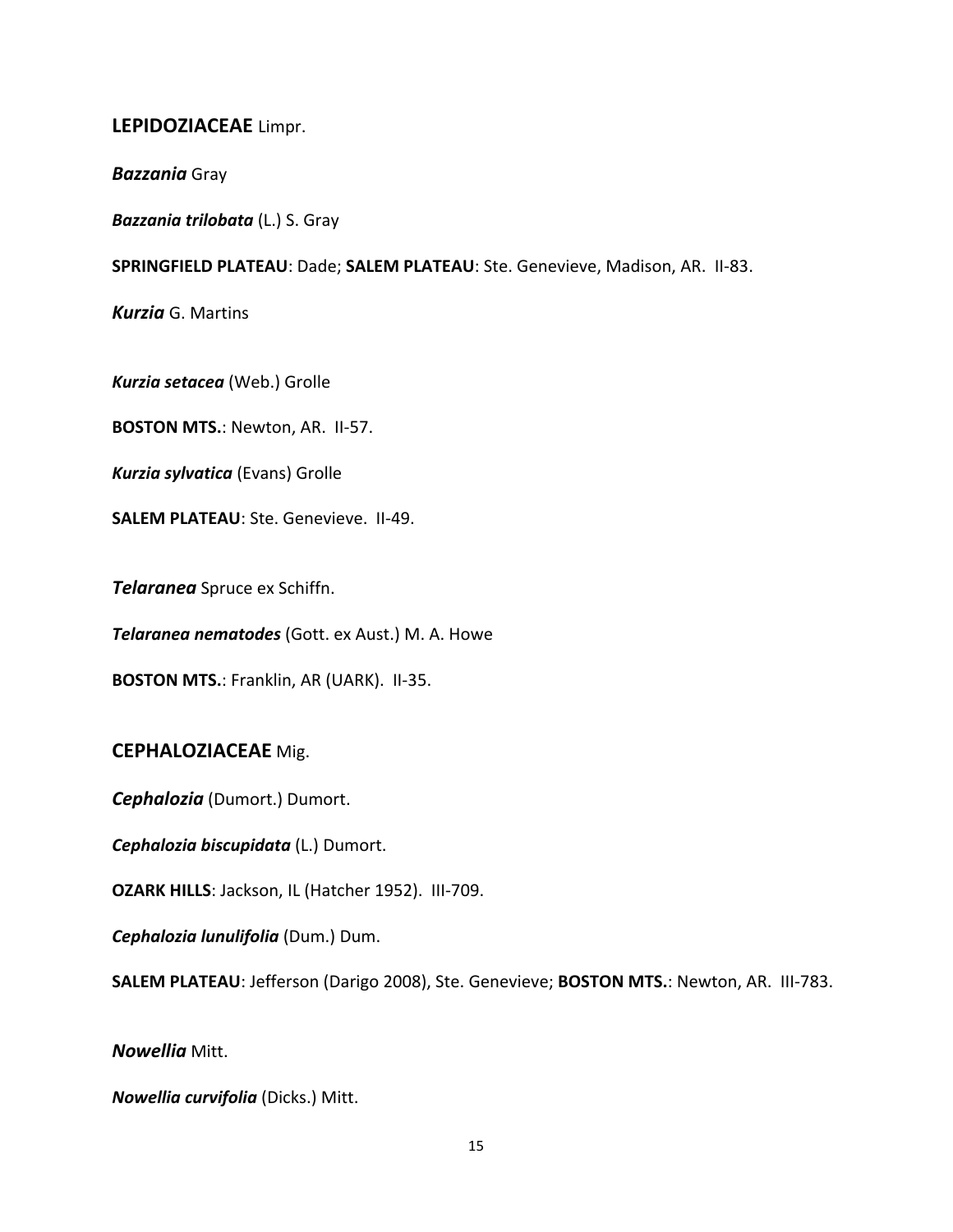## **LEPIDOZIACEAE** Limpr.

*Bazzania* Gray

*Bazzania trilobata* (L.) S. Gray

#### **SPRINGFIELD PLATEAU**: Dade; **SALEM PLATEAU**: Ste. Genevieve, Madison, AR. II‐83.

*Kurzia* G. Martins

*Kurzia setacea* (Web.) Grolle

**BOSTON MTS.**: Newton, AR. II‐57.

*Kurzia sylvatica* (Evans) Grolle

**SALEM PLATEAU**: Ste. Genevieve. II‐49.

*Telaranea* Spruce ex Schiffn.

*Telaranea nematodes* (Gott. ex Aust.) M. A. Howe

**BOSTON MTS.**: Franklin, AR (UARK). II‐35.

## **CEPHALOZIACEAE** Mig.

*Cephalozia* (Dumort.) Dumort.

*Cephalozia biscupidata* (L.) Dumort.

**OZARK HILLS**: Jackson, IL (Hatcher 1952). III‐709.

*Cephalozia lunulifolia* (Dum.) Dum.

**SALEM PLATEAU**: Jefferson (Darigo 2008), Ste. Genevieve; **BOSTON MTS.**: Newton, AR. III‐783.

#### *Nowellia* Mitt.

*Nowellia curvifolia* (Dicks.) Mitt.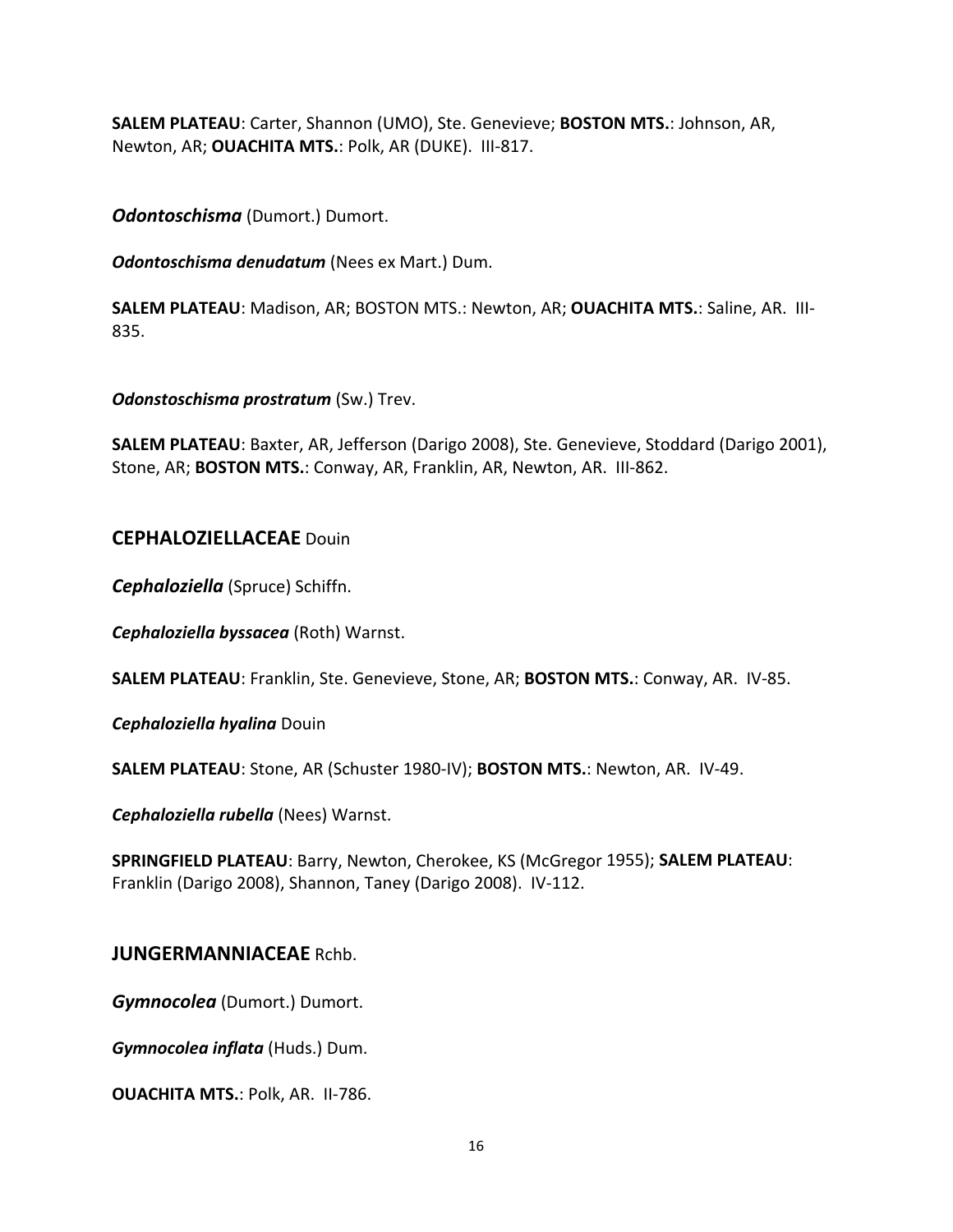**SALEM PLATEAU**: Carter, Shannon (UMO), Ste. Genevieve; **BOSTON MTS.**: Johnson, AR, Newton, AR; **OUACHITA MTS.**: Polk, AR (DUKE). III‐817.

*Odontoschisma* (Dumort.) Dumort.

*Odontoschisma denudatum* (Nees ex Mart.) Dum.

**SALEM PLATEAU**: Madison, AR; BOSTON MTS.: Newton, AR; **OUACHITA MTS.**: Saline, AR. III‐ 835.

*Odonstoschisma prostratum* (Sw.) Trev.

**SALEM PLATEAU**: Baxter, AR, Jefferson (Darigo 2008), Ste. Genevieve, Stoddard (Darigo 2001), Stone, AR; **BOSTON MTS.**: Conway, AR, Franklin, AR, Newton, AR. III‐862.

## **CEPHALOZIELLACEAE** Douin

*Cephaloziella* (Spruce) Schiffn.

*Cephaloziella byssacea* (Roth) Warnst.

**SALEM PLATEAU**: Franklin, Ste. Genevieve, Stone, AR; **BOSTON MTS.**: Conway, AR. IV‐85.

*Cephaloziella hyalina* Douin

**SALEM PLATEAU**: Stone, AR (Schuster 1980‐IV); **BOSTON MTS.**: Newton, AR. IV‐49.

*Cephaloziella rubella* (Nees) Warnst.

**SPRINGFIELD PLATEAU**: Barry, Newton, Cherokee, KS (McGregor 1955); **SALEM PLATEAU**: Franklin (Darigo 2008), Shannon, Taney (Darigo 2008). IV‐112.

## **JUNGERMANNIACEAE** Rchb.

*Gymnocolea* (Dumort.) Dumort.

*Gymnocolea inflata* (Huds.) Dum.

**OUACHITA MTS.**: Polk, AR. II‐786.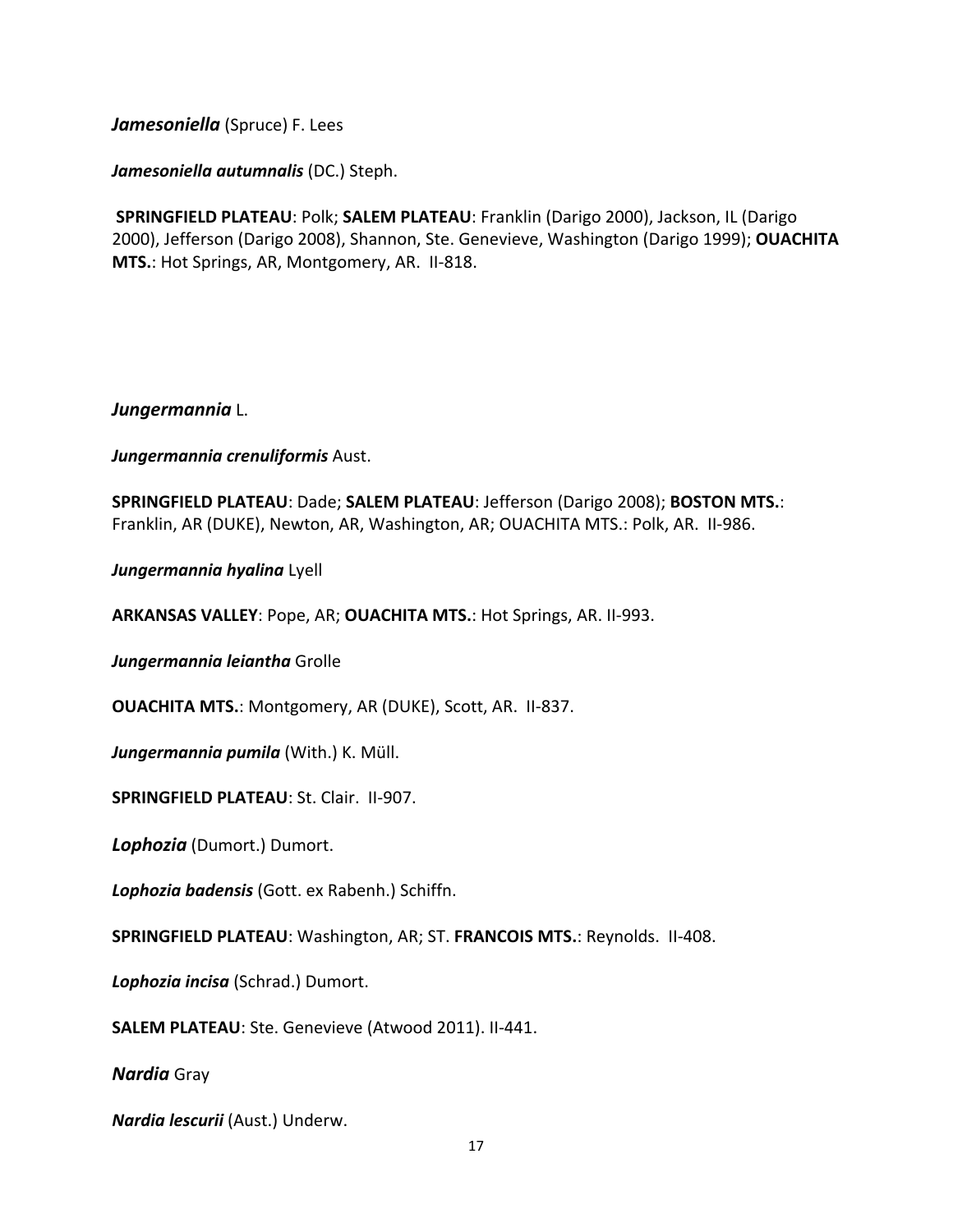*Jamesoniella* (Spruce) F. Lees

*Jamesoniella autumnalis* (DC.) Steph.

**SPRINGFIELD PLATEAU**: Polk; **SALEM PLATEAU**: Franklin (Darigo 2000), Jackson, IL (Darigo 2000), Jefferson (Darigo 2008), Shannon, Ste. Genevieve, Washington (Darigo 1999); **OUACHITA MTS.**: Hot Springs, AR, Montgomery, AR. II‐818.

#### *Jungermannia* L.

*Jungermannia crenuliformis* Aust.

**SPRINGFIELD PLATEAU**: Dade; **SALEM PLATEAU**: Jefferson (Darigo 2008); **BOSTON MTS.**: Franklin, AR (DUKE), Newton, AR, Washington, AR; OUACHITA MTS.: Polk, AR. II‐986.

*Jungermannia hyalina* Lyell

**ARKANSAS VALLEY**: Pope, AR; **OUACHITA MTS.**: Hot Springs, AR. II‐993.

*Jungermannia leiantha* Grolle

**OUACHITA MTS.**: Montgomery, AR (DUKE), Scott, AR. II‐837.

*Jungermannia pumila* (With.) K. Müll.

**SPRINGFIELD PLATEAU**: St. Clair. II‐907.

*Lophozia* (Dumort.) Dumort.

*Lophozia badensis* (Gott. ex Rabenh.) Schiffn.

**SPRINGFIELD PLATEAU**: Washington, AR; ST. **FRANCOIS MTS.**: Reynolds. II‐408.

*Lophozia incisa* (Schrad.) Dumort.

**SALEM PLATEAU**: Ste. Genevieve (Atwood 2011). II‐441.

*Nardia* Gray

*Nardia lescurii* (Aust.) Underw.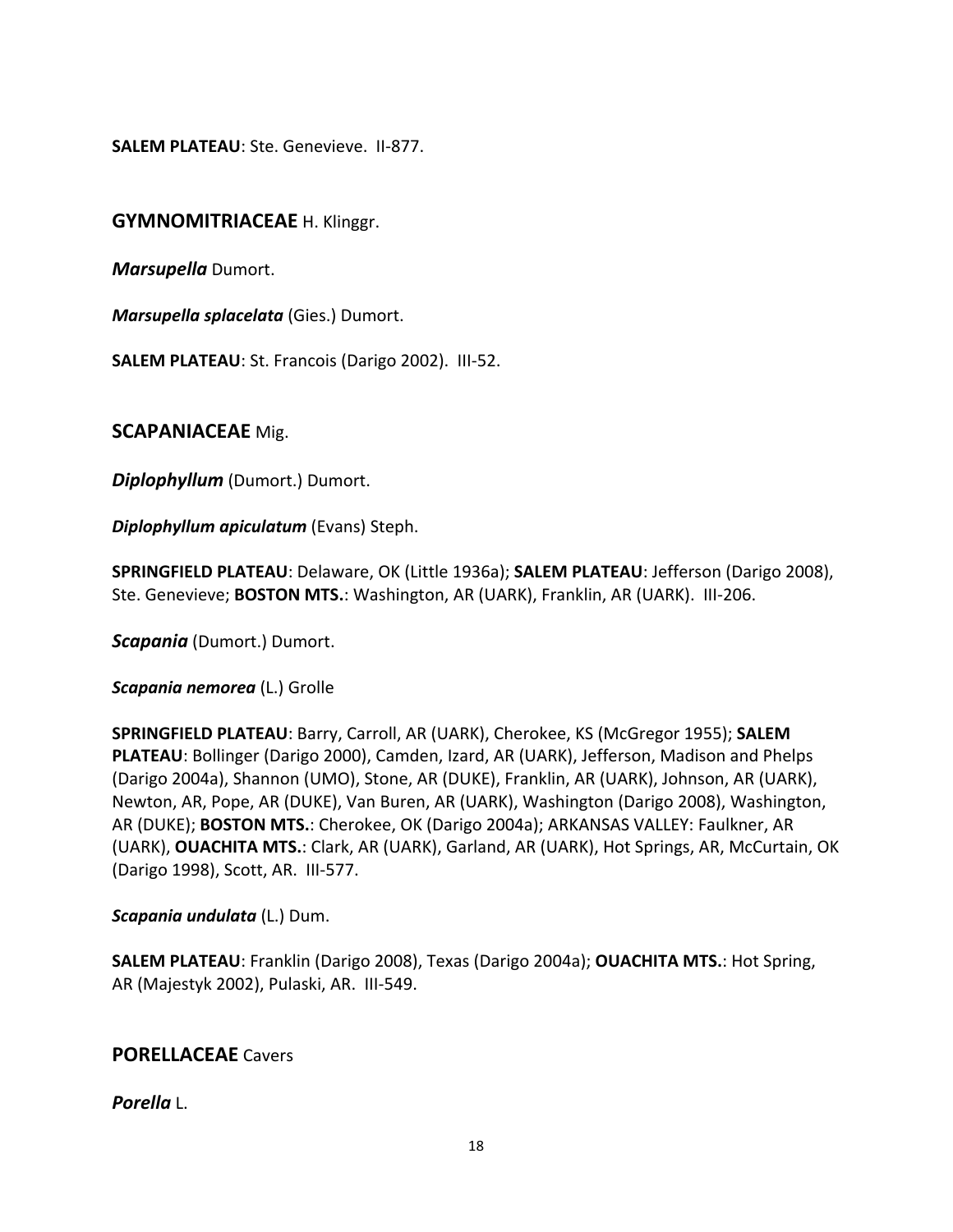**SALEM PLATEAU**: Ste. Genevieve. II‐877.

**GYMNOMITRIACEAE** H. Klinggr.

*Marsupella* Dumort.

*Marsupella splacelata* (Gies.) Dumort.

**SALEM PLATEAU**: St. Francois (Darigo 2002). III‐52.

**SCAPANIACEAE** Mig.

*Diplophyllum* (Dumort.) Dumort.

*Diplophyllum apiculatum* (Evans) Steph.

**SPRINGFIELD PLATEAU**: Delaware, OK (Little 1936a); **SALEM PLATEAU**: Jefferson (Darigo 2008), Ste. Genevieve; **BOSTON MTS.**: Washington, AR (UARK), Franklin, AR (UARK). III‐206.

*Scapania* (Dumort.) Dumort.

*Scapania nemorea* (L.) Grolle

**SPRINGFIELD PLATEAU**: Barry, Carroll, AR (UARK), Cherokee, KS (McGregor 1955); **SALEM PLATEAU**: Bollinger (Darigo 2000), Camden, Izard, AR (UARK), Jefferson, Madison and Phelps (Darigo 2004a), Shannon (UMO), Stone, AR (DUKE), Franklin, AR (UARK), Johnson, AR (UARK), Newton, AR, Pope, AR (DUKE), Van Buren, AR (UARK), Washington (Darigo 2008), Washington, AR (DUKE); **BOSTON MTS.**: Cherokee, OK (Darigo 2004a); ARKANSAS VALLEY: Faulkner, AR (UARK), **OUACHITA MTS.**: Clark, AR (UARK), Garland, AR (UARK), Hot Springs, AR, McCurtain, OK (Darigo 1998), Scott, AR. III‐577.

#### *Scapania undulata* (L.) Dum.

**SALEM PLATEAU**: Franklin (Darigo 2008), Texas (Darigo 2004a); **OUACHITA MTS.**: Hot Spring, AR (Majestyk 2002), Pulaski, AR. III‐549.

## **PORELLACEAE** Cavers

## *Porella* L.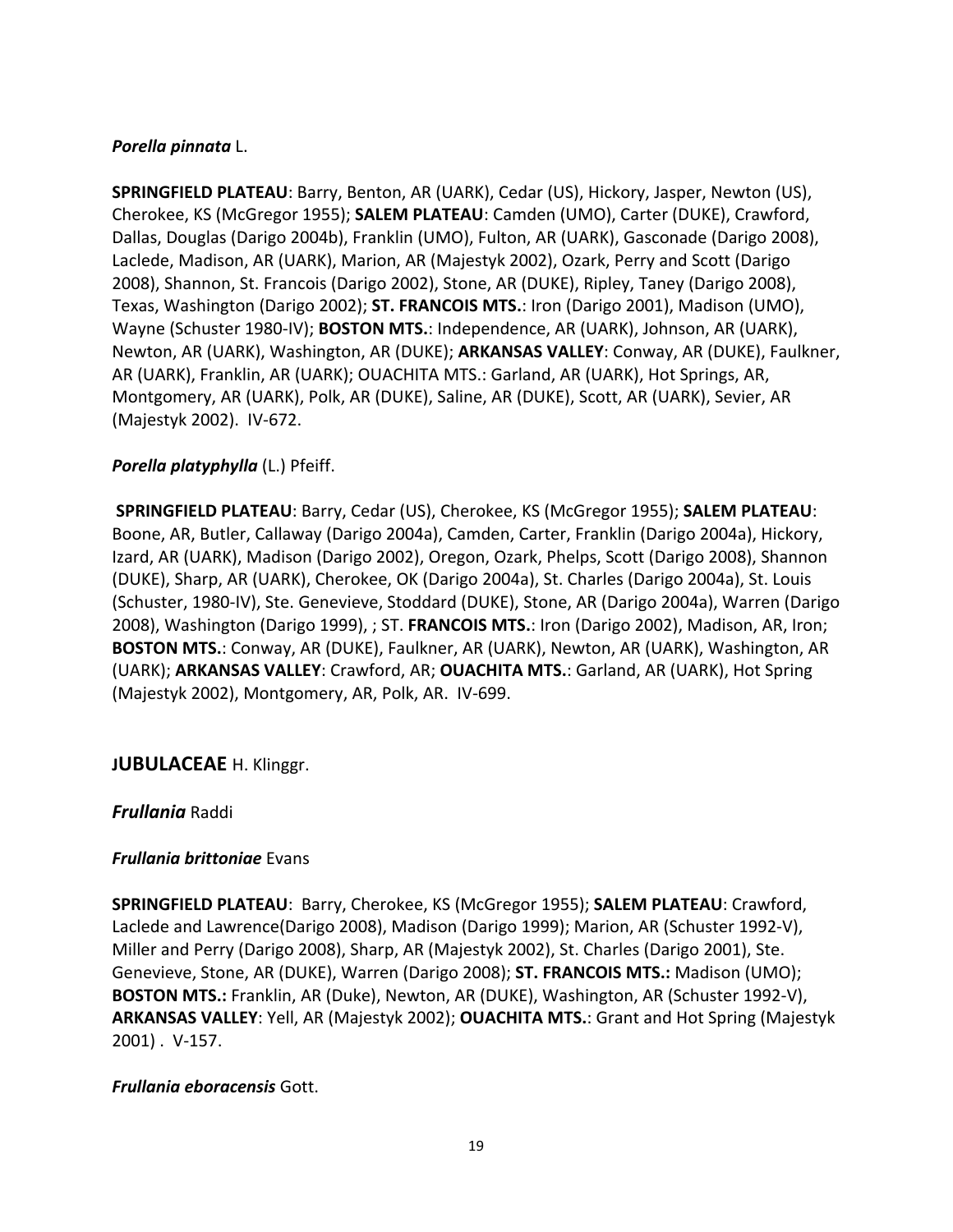#### *Porella pinnata* L.

**SPRINGFIELD PLATEAU**: Barry, Benton, AR (UARK), Cedar (US), Hickory, Jasper, Newton (US), Cherokee, KS (McGregor 1955); **SALEM PLATEAU**: Camden (UMO), Carter (DUKE), Crawford, Dallas, Douglas (Darigo 2004b), Franklin (UMO), Fulton, AR (UARK), Gasconade (Darigo 2008), Laclede, Madison, AR (UARK), Marion, AR (Majestyk 2002), Ozark, Perry and Scott (Darigo 2008), Shannon, St. Francois (Darigo 2002), Stone, AR (DUKE), Ripley, Taney (Darigo 2008), Texas, Washington (Darigo 2002); **ST. FRANCOIS MTS.**: Iron (Darigo 2001), Madison (UMO), Wayne (Schuster 1980‐IV); **BOSTON MTS.**: Independence, AR (UARK), Johnson, AR (UARK), Newton, AR (UARK), Washington, AR (DUKE); **ARKANSAS VALLEY**: Conway, AR (DUKE), Faulkner, AR (UARK), Franklin, AR (UARK); OUACHITA MTS.: Garland, AR (UARK), Hot Springs, AR, Montgomery, AR (UARK), Polk, AR (DUKE), Saline, AR (DUKE), Scott, AR (UARK), Sevier, AR (Majestyk 2002). IV‐672.

## *Porella platyphylla* (L.) Pfeiff.

**SPRINGFIELD PLATEAU**: Barry, Cedar (US), Cherokee, KS (McGregor 1955); **SALEM PLATEAU**: Boone, AR, Butler, Callaway (Darigo 2004a), Camden, Carter, Franklin (Darigo 2004a), Hickory, Izard, AR (UARK), Madison (Darigo 2002), Oregon, Ozark, Phelps, Scott (Darigo 2008), Shannon (DUKE), Sharp, AR (UARK), Cherokee, OK (Darigo 2004a), St. Charles (Darigo 2004a), St. Louis (Schuster, 1980‐IV), Ste. Genevieve, Stoddard (DUKE), Stone, AR (Darigo 2004a), Warren (Darigo 2008), Washington (Darigo 1999), ; ST. **FRANCOIS MTS.**: Iron (Darigo 2002), Madison, AR, Iron; **BOSTON MTS.**: Conway, AR (DUKE), Faulkner, AR (UARK), Newton, AR (UARK), Washington, AR (UARK); **ARKANSAS VALLEY**: Crawford, AR; **OUACHITA MTS.**: Garland, AR (UARK), Hot Spring (Majestyk 2002), Montgomery, AR, Polk, AR. IV‐699.

## **JUBULACEAE** H. Klinggr.

## *Frullania* Raddi

## *Frullania brittoniae* Evans

**SPRINGFIELD PLATEAU**: Barry, Cherokee, KS (McGregor 1955); **SALEM PLATEAU**: Crawford, Laclede and Lawrence(Darigo 2008), Madison (Darigo 1999); Marion, AR (Schuster 1992‐V), Miller and Perry (Darigo 2008), Sharp, AR (Majestyk 2002), St. Charles (Darigo 2001), Ste. Genevieve, Stone, AR (DUKE), Warren (Darigo 2008); **ST. FRANCOIS MTS.:** Madison (UMO); **BOSTON MTS.:** Franklin, AR (Duke), Newton, AR (DUKE), Washington, AR (Schuster 1992‐V), **ARKANSAS VALLEY**: Yell, AR (Majestyk 2002); **OUACHITA MTS.**: Grant and Hot Spring (Majestyk 2001) . V‐157.

#### *Frullania eboracensis* Gott.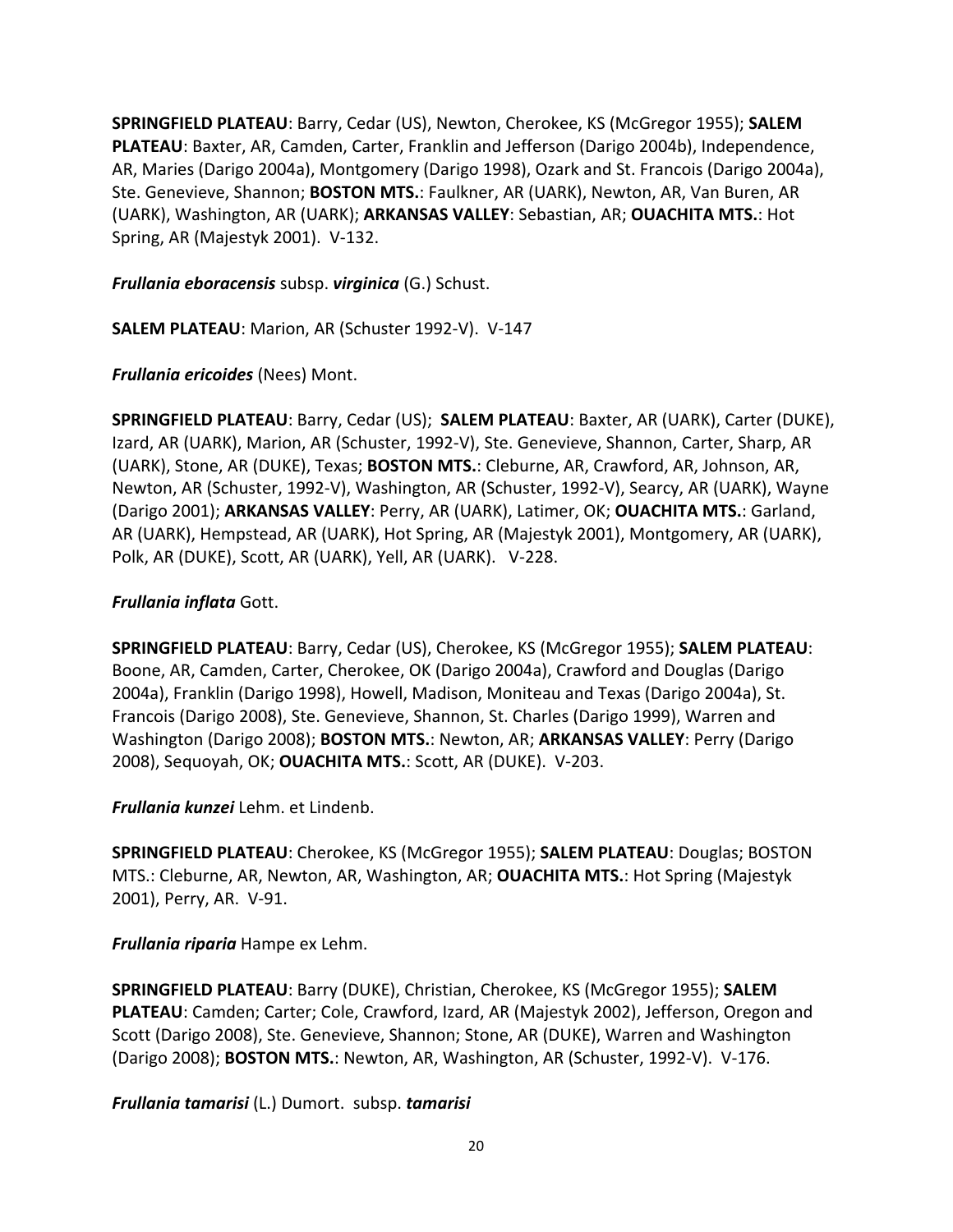**SPRINGFIELD PLATEAU**: Barry, Cedar (US), Newton, Cherokee, KS (McGregor 1955); **SALEM PLATEAU**: Baxter, AR, Camden, Carter, Franklin and Jefferson (Darigo 2004b), Independence, AR, Maries (Darigo 2004a), Montgomery (Darigo 1998), Ozark and St. Francois (Darigo 2004a), Ste. Genevieve, Shannon; **BOSTON MTS.**: Faulkner, AR (UARK), Newton, AR, Van Buren, AR (UARK), Washington, AR (UARK); **ARKANSAS VALLEY**: Sebastian, AR; **OUACHITA MTS.**: Hot Spring, AR (Majestyk 2001). V‐132.

*Frullania eboracensis* subsp. *virginica* (G.) Schust.

**SALEM PLATEAU**: Marion, AR (Schuster 1992‐V). V‐147

*Frullania ericoides* (Nees) Mont.

**SPRINGFIELD PLATEAU**: Barry, Cedar (US); **SALEM PLATEAU**: Baxter, AR (UARK), Carter (DUKE), Izard, AR (UARK), Marion, AR (Schuster, 1992‐V), Ste. Genevieve, Shannon, Carter, Sharp, AR (UARK), Stone, AR (DUKE), Texas; **BOSTON MTS.**: Cleburne, AR, Crawford, AR, Johnson, AR, Newton, AR (Schuster, 1992‐V), Washington, AR (Schuster, 1992‐V), Searcy, AR (UARK), Wayne (Darigo 2001); **ARKANSAS VALLEY**: Perry, AR (UARK), Latimer, OK; **OUACHITA MTS.**: Garland, AR (UARK), Hempstead, AR (UARK), Hot Spring, AR (Majestyk 2001), Montgomery, AR (UARK), Polk, AR (DUKE), Scott, AR (UARK), Yell, AR (UARK). V‐228.

#### *Frullania inflata* Gott.

**SPRINGFIELD PLATEAU**: Barry, Cedar (US), Cherokee, KS (McGregor 1955); **SALEM PLATEAU**: Boone, AR, Camden, Carter, Cherokee, OK (Darigo 2004a), Crawford and Douglas (Darigo 2004a), Franklin (Darigo 1998), Howell, Madison, Moniteau and Texas (Darigo 2004a), St. Francois (Darigo 2008), Ste. Genevieve, Shannon, St. Charles (Darigo 1999), Warren and Washington (Darigo 2008); **BOSTON MTS.**: Newton, AR; **ARKANSAS VALLEY**: Perry (Darigo 2008), Sequoyah, OK; **OUACHITA MTS.**: Scott, AR (DUKE). V‐203.

*Frullania kunzei* Lehm. et Lindenb.

**SPRINGFIELD PLATEAU**: Cherokee, KS (McGregor 1955); **SALEM PLATEAU**: Douglas; BOSTON MTS.: Cleburne, AR, Newton, AR, Washington, AR; **OUACHITA MTS.**: Hot Spring (Majestyk 2001), Perry, AR. V‐91.

*Frullania riparia* Hampe ex Lehm.

**SPRINGFIELD PLATEAU**: Barry (DUKE), Christian, Cherokee, KS (McGregor 1955); **SALEM PLATEAU**: Camden; Carter; Cole, Crawford, Izard, AR (Majestyk 2002), Jefferson, Oregon and Scott (Darigo 2008), Ste. Genevieve, Shannon; Stone, AR (DUKE), Warren and Washington (Darigo 2008); **BOSTON MTS.**: Newton, AR, Washington, AR (Schuster, 1992‐V). V‐176.

*Frullania tamarisi* (L.) Dumort. subsp. *tamarisi*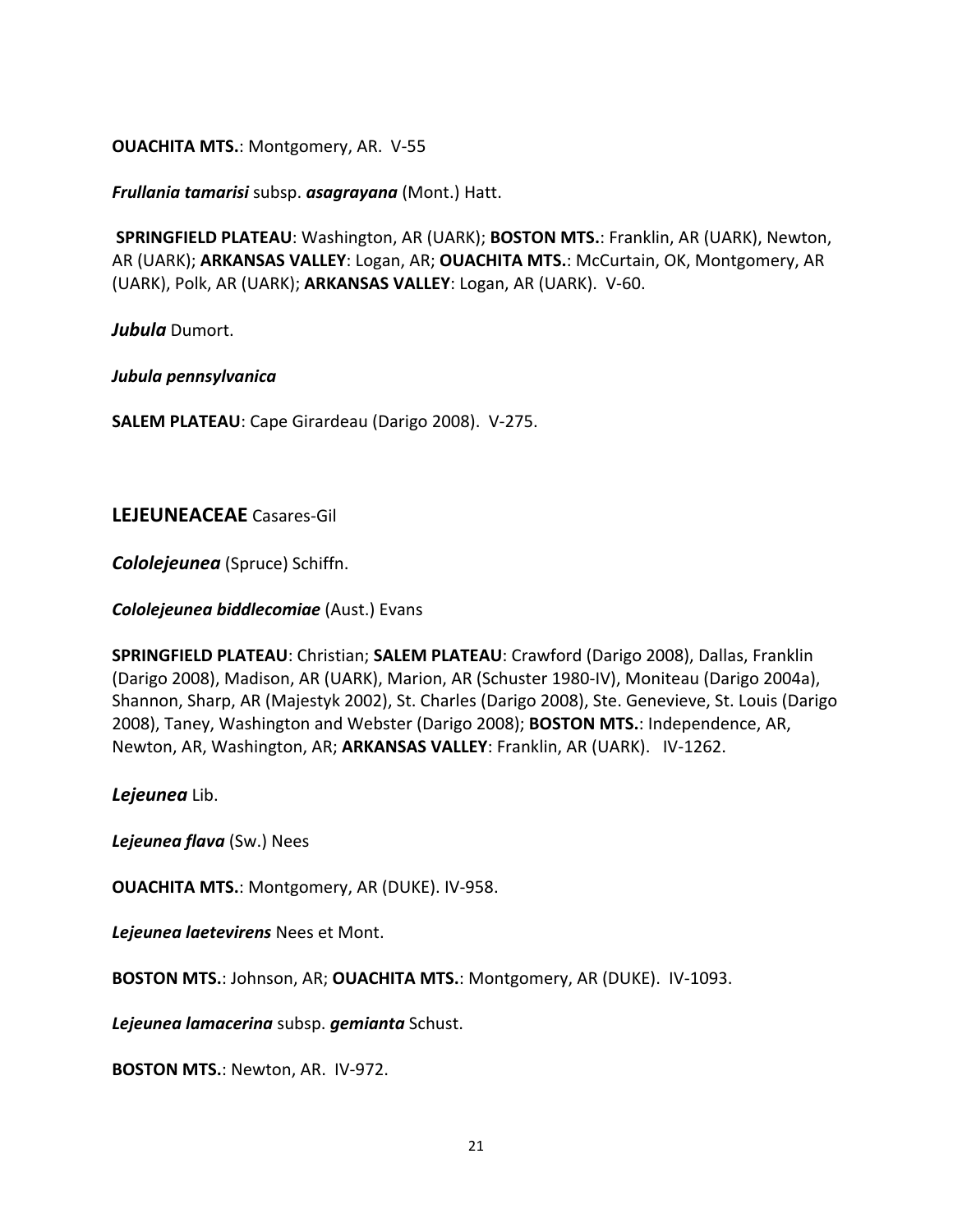**OUACHITA MTS.**: Montgomery, AR. V‐55

*Frullania tamarisi* subsp. *asagrayana* (Mont.) Hatt.

**SPRINGFIELD PLATEAU**: Washington, AR (UARK); **BOSTON MTS.**: Franklin, AR (UARK), Newton, AR (UARK); **ARKANSAS VALLEY**: Logan, AR; **OUACHITA MTS.**: McCurtain, OK, Montgomery, AR (UARK), Polk, AR (UARK); **ARKANSAS VALLEY**: Logan, AR (UARK). V‐60.

*Jubula* Dumort.

*Jubula pennsylvanica* 

**SALEM PLATEAU**: Cape Girardeau (Darigo 2008). V‐275.

#### **LEJEUNEACEAE** Casares‐Gil

*Cololejeunea* (Spruce) Schiffn.

*Cololejeunea biddlecomiae* (Aust.) Evans

**SPRINGFIELD PLATEAU**: Christian; **SALEM PLATEAU**: Crawford (Darigo 2008), Dallas, Franklin (Darigo 2008), Madison, AR (UARK), Marion, AR (Schuster 1980‐IV), Moniteau (Darigo 2004a), Shannon, Sharp, AR (Majestyk 2002), St. Charles (Darigo 2008), Ste. Genevieve, St. Louis (Darigo 2008), Taney, Washington and Webster (Darigo 2008); **BOSTON MTS.**: Independence, AR, Newton, AR, Washington, AR; **ARKANSAS VALLEY**: Franklin, AR (UARK). IV‐1262.

*Lejeunea* Lib.

*Lejeunea flava* (Sw.) Nees

**OUACHITA MTS.**: Montgomery, AR (DUKE). IV‐958.

*Lejeunea laetevirens* Nees et Mont.

**BOSTON MTS.**: Johnson, AR; **OUACHITA MTS.**: Montgomery, AR (DUKE). IV‐1093.

*Lejeunea lamacerina* subsp. *gemianta* Schust.

**BOSTON MTS.**: Newton, AR. IV‐972.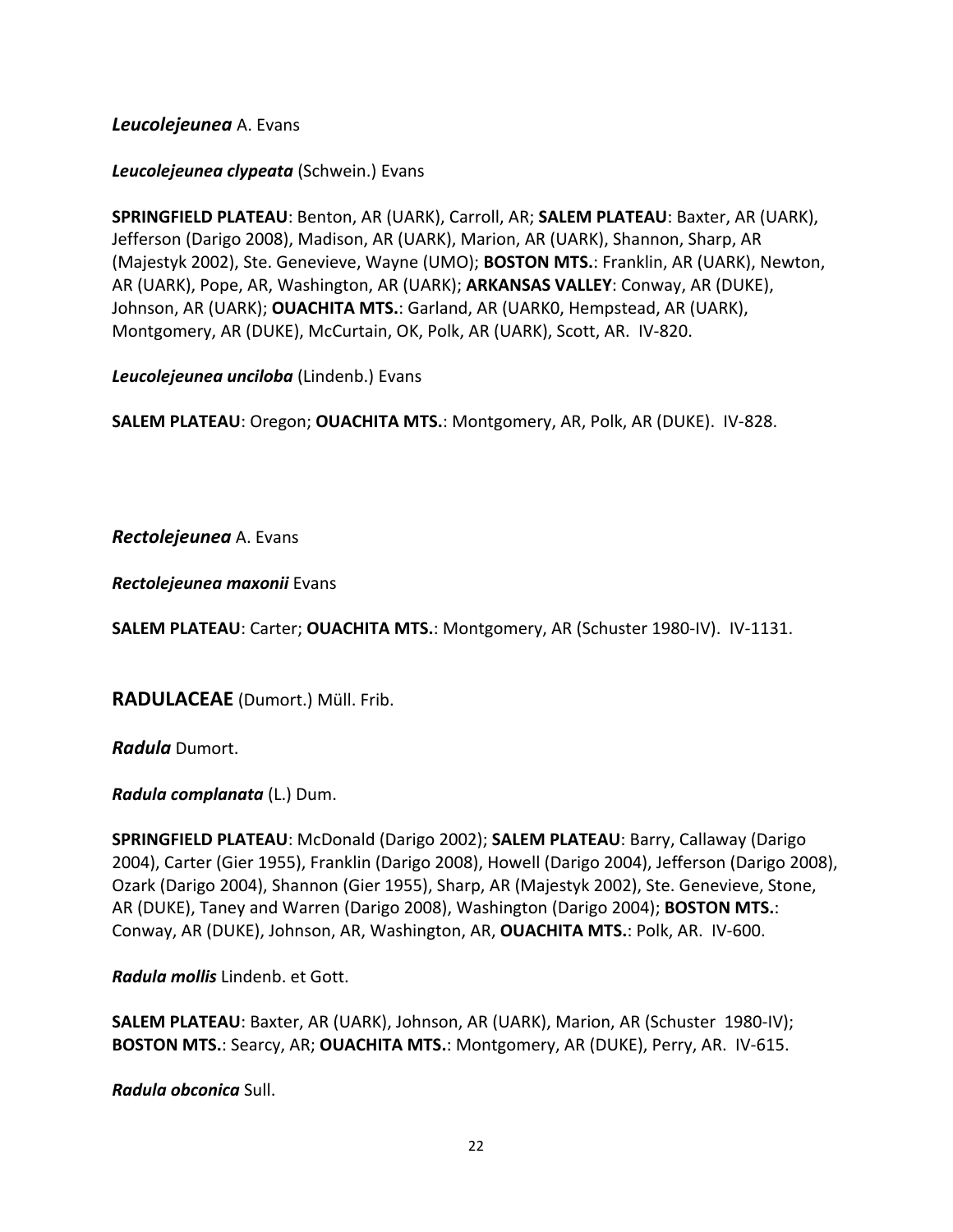*Leucolejeunea* A. Evans

### *Leucolejeunea clypeata* (Schwein.) Evans

**SPRINGFIELD PLATEAU**: Benton, AR (UARK), Carroll, AR; **SALEM PLATEAU**: Baxter, AR (UARK), Jefferson (Darigo 2008), Madison, AR (UARK), Marion, AR (UARK), Shannon, Sharp, AR (Majestyk 2002), Ste. Genevieve, Wayne (UMO); **BOSTON MTS.**: Franklin, AR (UARK), Newton, AR (UARK), Pope, AR, Washington, AR (UARK); **ARKANSAS VALLEY**: Conway, AR (DUKE), Johnson, AR (UARK); **OUACHITA MTS.**: Garland, AR (UARK0, Hempstead, AR (UARK), Montgomery, AR (DUKE), McCurtain, OK, Polk, AR (UARK), Scott, AR. IV‐820.

*Leucolejeunea unciloba* (Lindenb.) Evans

**SALEM PLATEAU**: Oregon; **OUACHITA MTS.**: Montgomery, AR, Polk, AR (DUKE). IV‐828.

*Rectolejeunea* A. Evans

*Rectolejeunea maxonii* Evans

**SALEM PLATEAU**: Carter; **OUACHITA MTS.**: Montgomery, AR (Schuster 1980‐IV). IV‐1131.

**RADULACEAE** (Dumort.) Müll. Frib.

*Radula* Dumort.

*Radula complanata* (L.) Dum.

**SPRINGFIELD PLATEAU**: McDonald (Darigo 2002); **SALEM PLATEAU**: Barry, Callaway (Darigo 2004), Carter (Gier 1955), Franklin (Darigo 2008), Howell (Darigo 2004), Jefferson (Darigo 2008), Ozark (Darigo 2004), Shannon (Gier 1955), Sharp, AR (Majestyk 2002), Ste. Genevieve, Stone, AR (DUKE), Taney and Warren (Darigo 2008), Washington (Darigo 2004); **BOSTON MTS.**: Conway, AR (DUKE), Johnson, AR, Washington, AR, **OUACHITA MTS.**: Polk, AR. IV‐600.

*Radula mollis* Lindenb. et Gott.

**SALEM PLATEAU**: Baxter, AR (UARK), Johnson, AR (UARK), Marion, AR (Schuster 1980‐IV); **BOSTON MTS.**: Searcy, AR; **OUACHITA MTS.**: Montgomery, AR (DUKE), Perry, AR. IV‐615.

*Radula obconica* Sull.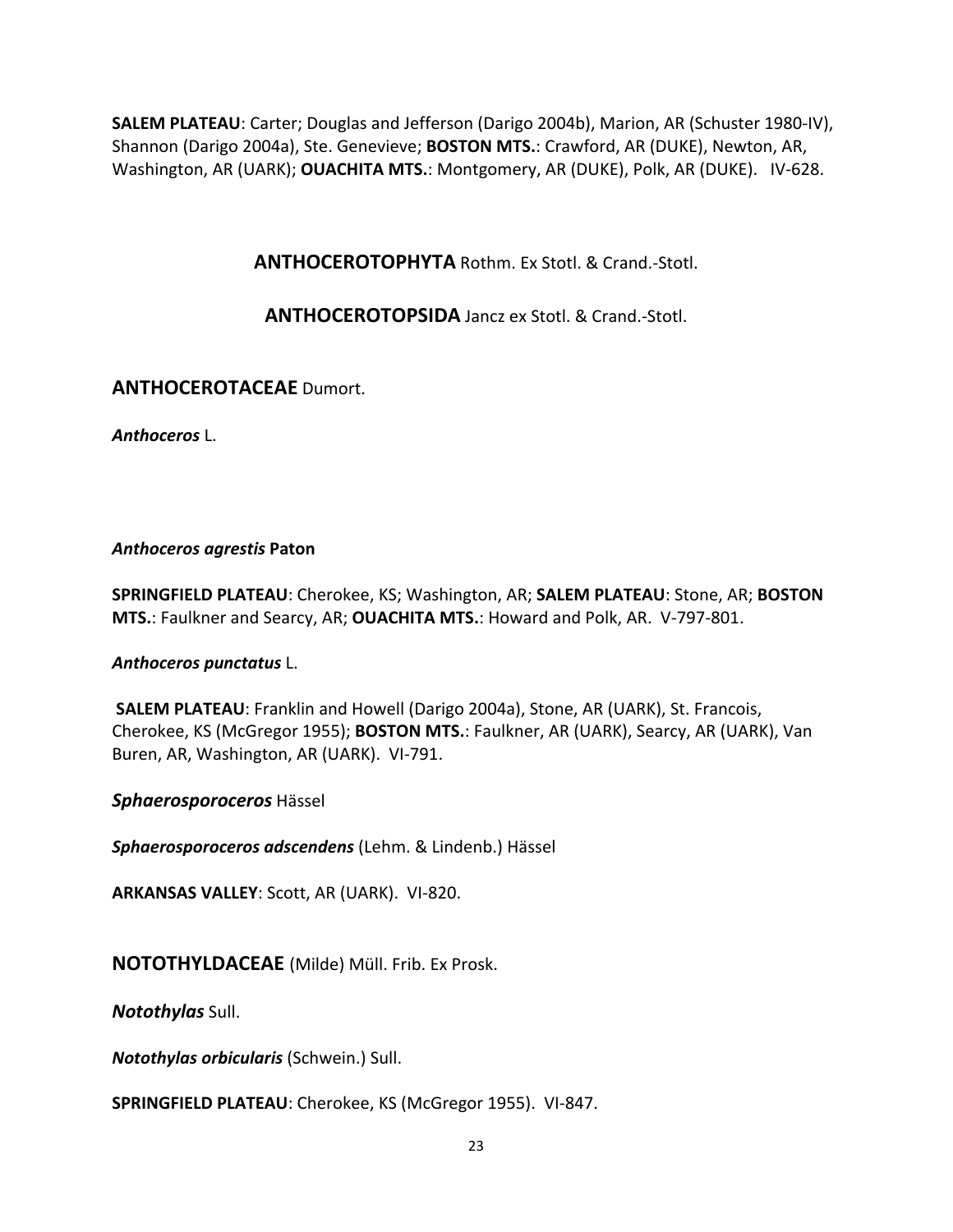**SALEM PLATEAU**: Carter; Douglas and Jefferson (Darigo 2004b), Marion, AR (Schuster 1980‐IV), Shannon (Darigo 2004a), Ste. Genevieve; **BOSTON MTS.**: Crawford, AR (DUKE), Newton, AR, Washington, AR (UARK); **OUACHITA MTS.**: Montgomery, AR (DUKE), Polk, AR (DUKE). IV‐628.

**ANTHOCEROTOPHYTA** Rothm. Ex Stotl. & Crand.‐Stotl.

**ANTHOCEROTOPSIDA** Jancz ex Stotl. & Crand.‐Stotl.

**ANTHOCEROTACEAE** Dumort.

*Anthoceros* L.

#### *Anthoceros agrestis* **Paton**

**SPRINGFIELD PLATEAU**: Cherokee, KS; Washington, AR; **SALEM PLATEAU**: Stone, AR; **BOSTON MTS.**: Faulkner and Searcy, AR; **OUACHITA MTS.**: Howard and Polk, AR. V‐797‐801.

## *Anthoceros punctatus* L.

**SALEM PLATEAU**: Franklin and Howell (Darigo 2004a), Stone, AR (UARK), St. Francois, Cherokee, KS (McGregor 1955); **BOSTON MTS.**: Faulkner, AR (UARK), Searcy, AR (UARK), Van Buren, AR, Washington, AR (UARK). VI‐791.

*Sphaerosporoceros* Hässel

*Sphaerosporoceros adscendens* (Lehm. & Lindenb.) Hässel

**ARKANSAS VALLEY**: Scott, AR (UARK). VI‐820.

**NOTOTHYLDACEAE** (Milde) Müll. Frib. Ex Prosk.

*Notothylas* Sull.

*Notothylas orbicularis* (Schwein.) Sull.

**SPRINGFIELD PLATEAU**: Cherokee, KS (McGregor 1955). VI‐847.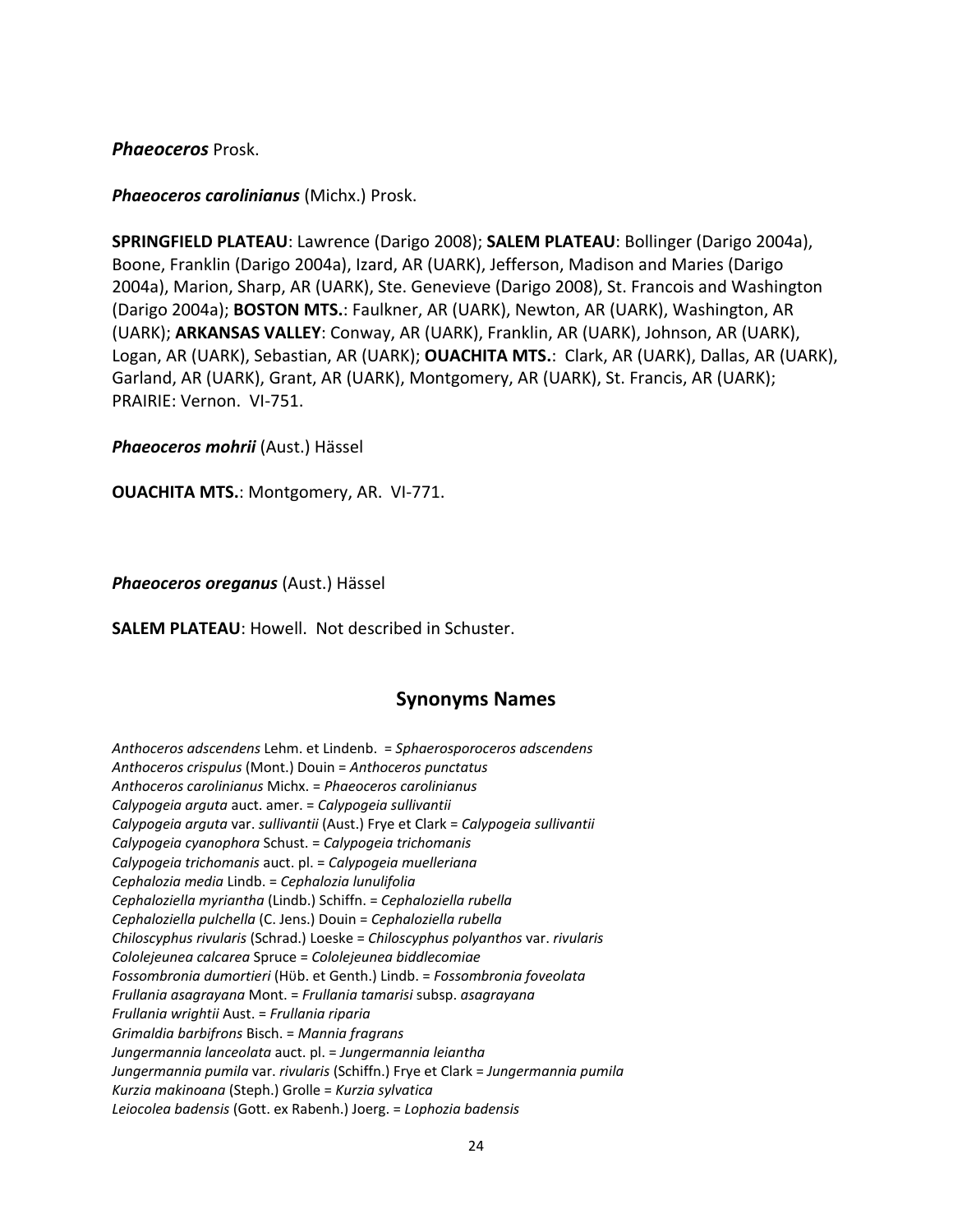#### *Phaeoceros* Prosk.

#### *Phaeoceros carolinianus* (Michx.) Prosk.

**SPRINGFIELD PLATEAU**: Lawrence (Darigo 2008); **SALEM PLATEAU**: Bollinger (Darigo 2004a), Boone, Franklin (Darigo 2004a), Izard, AR (UARK), Jefferson, Madison and Maries (Darigo 2004a), Marion, Sharp, AR (UARK), Ste. Genevieve (Darigo 2008), St. Francois and Washington (Darigo 2004a); **BOSTON MTS.**: Faulkner, AR (UARK), Newton, AR (UARK), Washington, AR (UARK); **ARKANSAS VALLEY**: Conway, AR (UARK), Franklin, AR (UARK), Johnson, AR (UARK), Logan, AR (UARK), Sebastian, AR (UARK); **OUACHITA MTS.**: Clark, AR (UARK), Dallas, AR (UARK), Garland, AR (UARK), Grant, AR (UARK), Montgomery, AR (UARK), St. Francis, AR (UARK); PRAIRIE: Vernon. VI‐751.

*Phaeoceros mohrii* (Aust.) Hässel

**OUACHITA MTS.**: Montgomery, AR. VI‐771.

*Phaeoceros oreganus* (Aust.) Hässel

**SALEM PLATEAU**: Howell. Not described in Schuster.

# **Synonyms Names**

*Anthoceros adscendens* Lehm. et Lindenb. = *Sphaerosporoceros adscendens Anthoceros crispulus* (Mont.) Douin = *Anthoceros punctatus Anthoceros carolinianus* Michx. = *Phaeoceros carolinianus Calypogeia arguta* auct. amer. = *Calypogeia sullivantii Calypogeia arguta* var. *sullivantii* (Aust.) Frye et Clark = *Calypogeia sullivantii Calypogeia cyanophora* Schust. = *Calypogeia trichomanis Calypogeia trichomanis* auct. pl. = *Calypogeia muelleriana Cephalozia media* Lindb. = *Cephalozia lunulifolia Cephaloziella myriantha* (Lindb.) Schiffn. = *Cephaloziella rubella Cephaloziella pulchella* (C. Jens.) Douin = *Cephaloziella rubella Chiloscyphus rivularis* (Schrad.) Loeske = *Chiloscyphus polyanthos* var. *rivularis Cololejeunea calcarea* Spruce = *Cololejeunea biddlecomiae Fossombronia dumortieri* (Hϋb. et Genth.) Lindb. = *Fossombronia foveolata Frullania asagrayana* Mont. = *Frullania tamarisi* subsp. *asagrayana Frullania wrightii* Aust. = *Frullania riparia Grimaldia barbifrons* Bisch. = *Mannia fragrans Jungermannia lanceolata* auct. pl. = *Jungermannia leiantha Jungermannia pumila* var. *rivularis* (Schiffn.) Frye et Clark = *Jungermannia pumila Kurzia makinoana* (Steph.) Grolle = *Kurzia sylvatica Leiocolea badensis* (Gott. ex Rabenh.) Joerg. = *Lophozia badensis*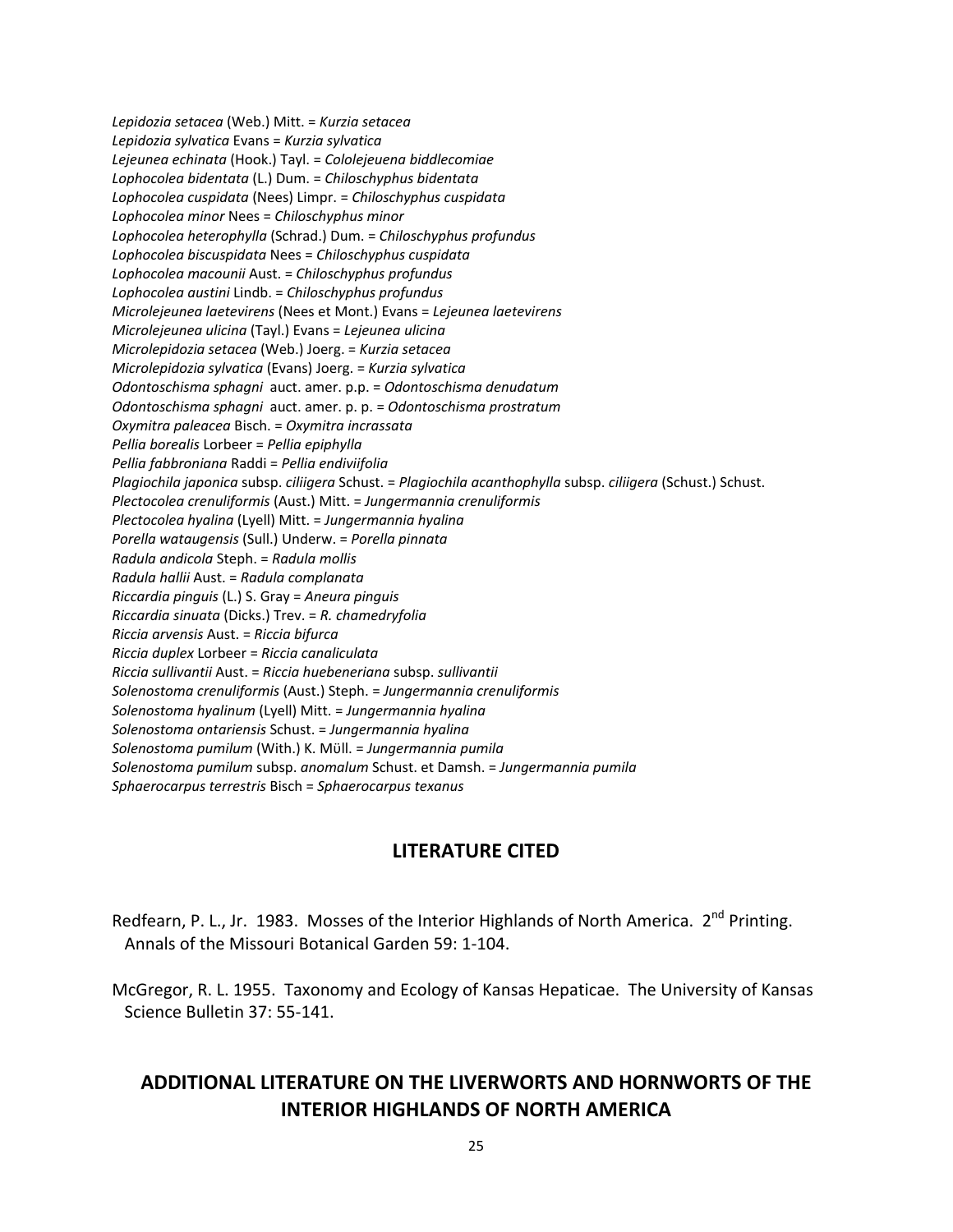*Lepidozia setacea* (Web.) Mitt. = *Kurzia setacea Lepidozia sylvatica* Evans = *Kurzia sylvatica Lejeunea echinata* (Hook.) Tayl. = *Cololejeuena biddlecomiae Lophocolea bidentata* (L.) Dum. = *Chiloschyphus bidentata Lophocolea cuspidata* (Nees) Limpr. = *Chiloschyphus cuspidata Lophocolea minor* Nees = *Chiloschyphus minor Lophocolea heterophylla* (Schrad.) Dum. = *Chiloschyphus profundus Lophocolea biscuspidata* Nees = *Chiloschyphus cuspidata Lophocolea macounii* Aust. = *Chiloschyphus profundus Lophocolea austini* Lindb. = *Chiloschyphus profundus Microlejeunea laetevirens* (Nees et Mont.) Evans = *Lejeunea laetevirens Microlejeunea ulicina* (Tayl.) Evans = *Lejeunea ulicina Microlepidozia setacea* (Web.) Joerg. = *Kurzia setacea Microlepidozia sylvatica* (Evans) Joerg. = *Kurzia sylvatica Odontoschisma sphagni* auct. amer. p.p. = *Odontoschisma denudatum Odontoschisma sphagni* auct. amer. p. p. = *Odontoschisma prostratum Oxymitra paleacea* Bisch. = *Oxymitra incrassata Pellia borealis* Lorbeer = *Pellia epiphylla Pellia fabbroniana* Raddi = *Pellia endiviifolia Plagiochila japonica* subsp. *ciliigera* Schust. = *Plagiochila acanthophylla* subsp. *ciliigera* (Schust.) Schust. *Plectocolea crenuliformis* (Aust.) Mitt. = *Jungermannia crenuliformis Plectocolea hyalina* (Lyell) Mitt. = *Jungermannia hyalina Porella wataugensis* (Sull.) Underw. = *Porella pinnata Radula andicola* Steph. = *Radula mollis Radula hallii* Aust. = *Radula complanata Riccardia pinguis* (L.) S. Gray = *Aneura pinguis Riccardia sinuata* (Dicks.) Trev. = *R. chamedryfolia Riccia arvensis* Aust. = *Riccia bifurca Riccia duplex* Lorbeer = *Riccia canaliculata Riccia sullivantii* Aust. = *Riccia huebeneriana* subsp. *sullivantii Solenostoma crenuliformis* (Aust.) Steph. = *Jungermannia crenuliformis Solenostoma hyalinum* (Lyell) Mitt. = *Jungermannia hyalina Solenostoma ontariensis* Schust. = *Jungermannia hyalina Solenostoma pumilum* (With.) K. Mϋll. = *Jungermannia pumila Solenostoma pumilum* subsp. *anomalum* Schust. et Damsh. = *Jungermannia pumila Sphaerocarpus terrestris* Bisch = *Sphaerocarpus texanus*

## **LITERATURE CITED**

Redfearn, P. L., Jr. 1983. Mosses of the Interior Highlands of North America. 2<sup>nd</sup> Printing. Annals of the Missouri Botanical Garden 59: 1‐104.

McGregor, R. L. 1955. Taxonomy and Ecology of Kansas Hepaticae. The University of Kansas Science Bulletin 37: 55‐141.

# **ADDITIONAL LITERATURE ON THE LIVERWORTS AND HORNWORTS OF THE INTERIOR HIGHLANDS OF NORTH AMERICA**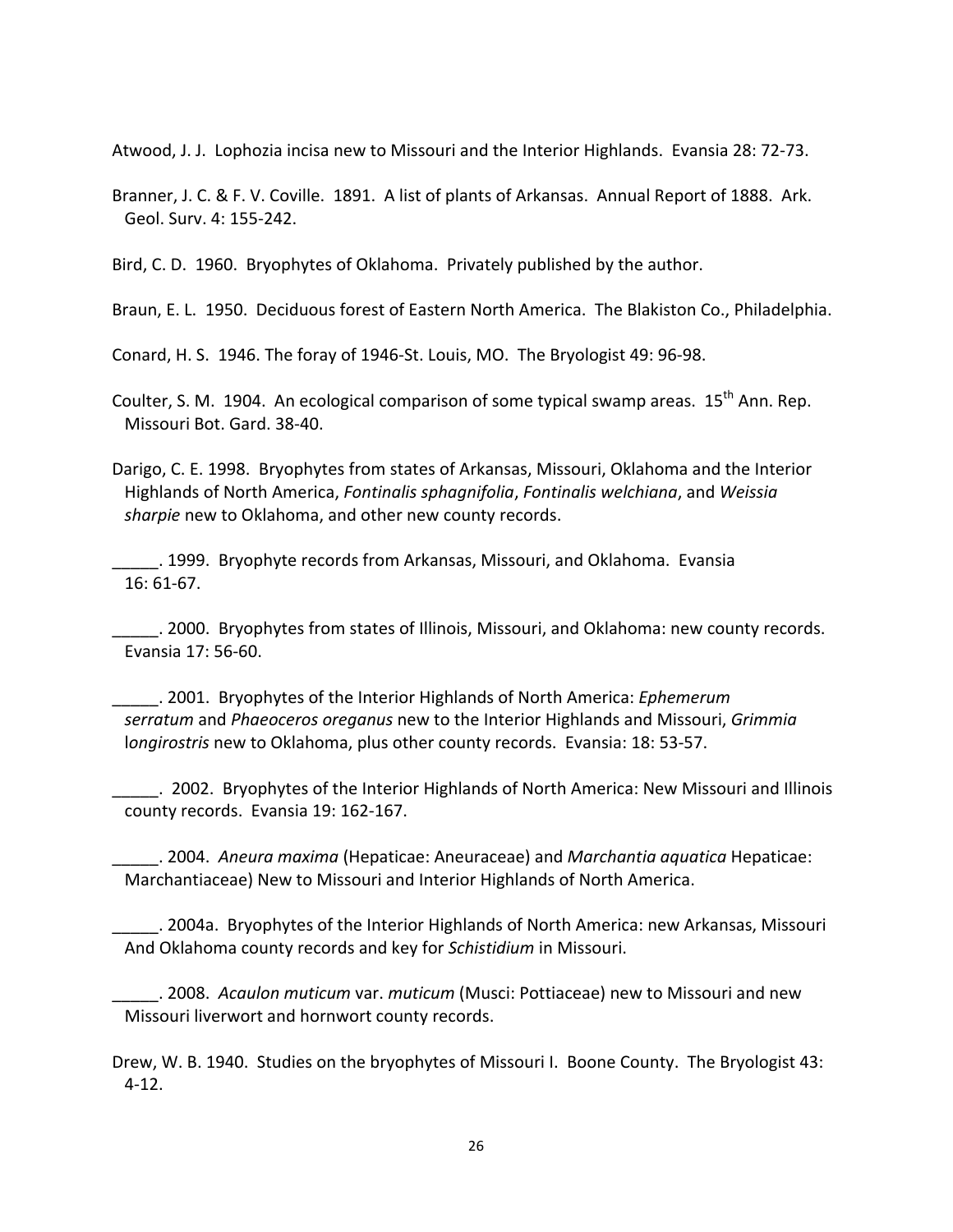Atwood, J. J. Lophozia incisa new to Missouri and the Interior Highlands. Evansia 28: 72‐73.

Branner, J. C. & F. V. Coville. 1891. A list of plants of Arkansas. Annual Report of 1888. Ark. Geol. Surv. 4: 155‐242.

Bird, C. D. 1960. Bryophytes of Oklahoma. Privately published by the author.

Braun, E. L. 1950. Deciduous forest of Eastern North America. The Blakiston Co., Philadelphia.

Conard, H. S. 1946. The foray of 1946‐St. Louis, MO. The Bryologist 49: 96‐98.

Coulter, S. M. 1904. An ecological comparison of some typical swamp areas.  $15<sup>th</sup>$  Ann. Rep. Missouri Bot. Gard. 38‐40.

Darigo, C. E. 1998. Bryophytes from states of Arkansas, Missouri, Oklahoma and the Interior Highlands of North America, *Fontinalis sphagnifolia*, *Fontinalis welchiana*, and *Weissia sharpie* new to Oklahoma, and other new county records.

\_\_\_\_\_. 1999. Bryophyte records from Arkansas, Missouri, and Oklahoma. Evansia 16: 61‐67.

\_\_\_\_\_. 2000. Bryophytes from states of Illinois, Missouri, and Oklahoma: new county records. Evansia 17: 56‐60.

\_\_\_\_\_. 2001. Bryophytes of the Interior Highlands of North America: *Ephemerum serratum* and *Phaeoceros oreganus* new to the Interior Highlands and Missouri, *Grimmia* l*ongirostris* new to Oklahoma, plus other county records. Evansia: 18: 53‐57.

\_\_\_\_\_. 2002. Bryophytes of the Interior Highlands of North America: New Missouri and Illinois county records. Evansia 19: 162‐167.

\_\_\_\_\_. 2004. *Aneura maxima* (Hepaticae: Aneuraceae) and *Marchantia aquatica* Hepaticae: Marchantiaceae) New to Missouri and Interior Highlands of North America.

\_\_\_\_\_. 2004a. Bryophytes of the Interior Highlands of North America: new Arkansas, Missouri And Oklahoma county records and key for *Schistidium* in Missouri.

\_\_\_\_\_. 2008. *Acaulon muticum* var. *muticum* (Musci: Pottiaceae) new to Missouri and new Missouri liverwort and hornwort county records.

Drew, W. B. 1940. Studies on the bryophytes of Missouri I. Boone County. The Bryologist 43: 4‐12.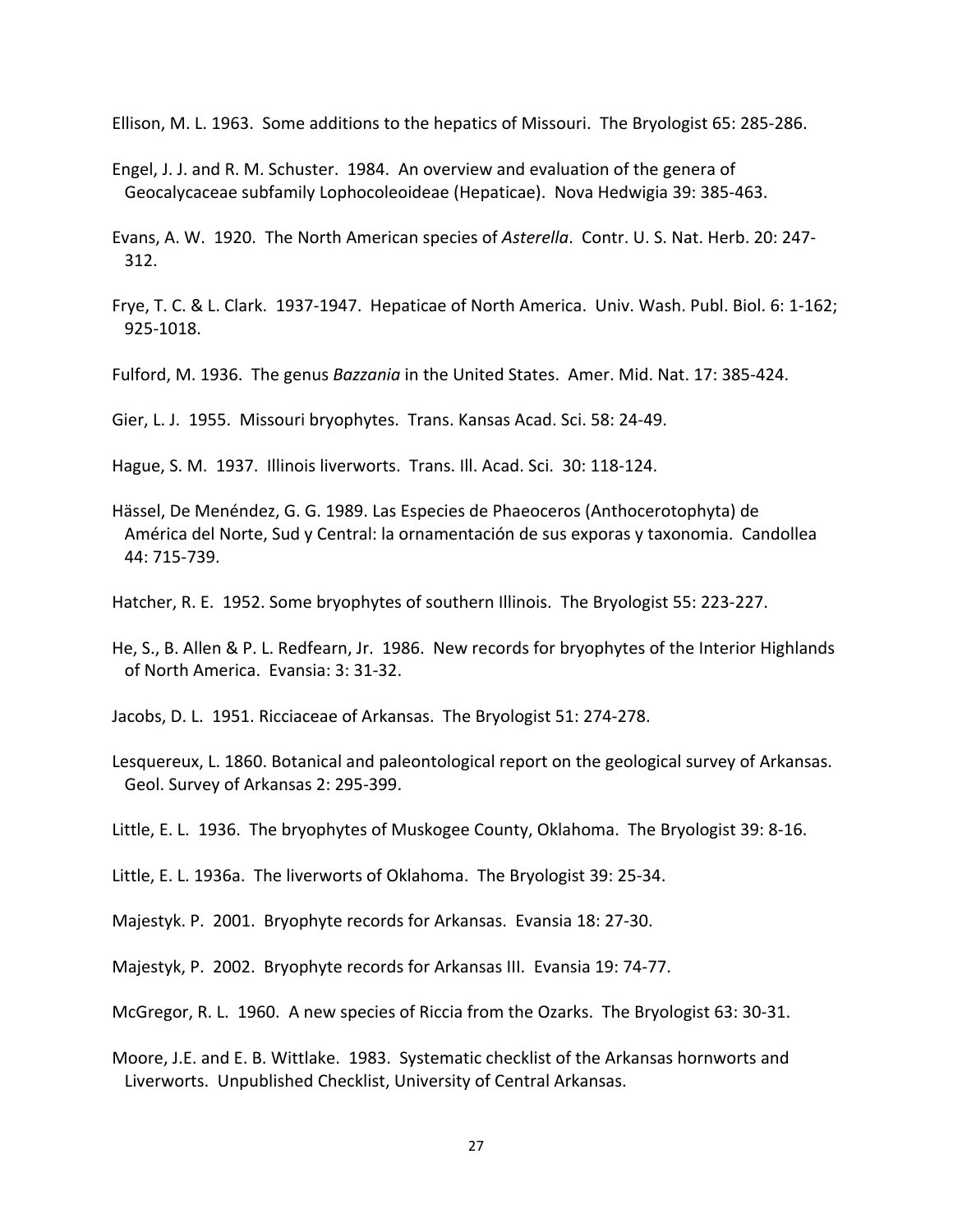Ellison, M. L. 1963. Some additions to the hepatics of Missouri. The Bryologist 65: 285‐286.

- Engel, J. J. and R. M. Schuster. 1984. An overview and evaluation of the genera of Geocalycaceae subfamily Lophocoleoideae (Hepaticae). Nova Hedwigia 39: 385‐463.
- Evans, A. W. 1920. The North American species of *Asterella*. Contr. U. S. Nat. Herb. 20: 247‐ 312.
- Frye, T. C. & L. Clark. 1937‐1947. Hepaticae of North America. Univ. Wash. Publ. Biol. 6: 1‐162; 925‐1018.
- Fulford, M. 1936. The genus *Bazzania* in the United States. Amer. Mid. Nat. 17: 385‐424.

Gier, L. J. 1955. Missouri bryophytes. Trans. Kansas Acad. Sci. 58: 24‐49.

Hague, S. M. 1937. Illinois liverworts. Trans. Ill. Acad. Sci. 30: 118‐124.

Hässel, De Menéndez, G. G. 1989. Las Especies de Phaeoceros (Anthocerotophyta) de América del Norte, Sud y Central: la ornamentación de sus exporas y taxonomia. Candollea 44: 715‐739.

Hatcher, R. E. 1952. Some bryophytes of southern Illinois. The Bryologist 55: 223‐227.

He, S., B. Allen & P. L. Redfearn, Jr. 1986. New records for bryophytes of the Interior Highlands of North America. Evansia: 3: 31‐32.

Jacobs, D. L. 1951. Ricciaceae of Arkansas. The Bryologist 51: 274‐278.

- Lesquereux, L. 1860. Botanical and paleontological report on the geological survey of Arkansas. Geol. Survey of Arkansas 2: 295‐399.
- Little, E. L. 1936. The bryophytes of Muskogee County, Oklahoma. The Bryologist 39: 8‐16.

Little, E. L. 1936a. The liverworts of Oklahoma. The Bryologist 39: 25‐34.

Majestyk. P. 2001. Bryophyte records for Arkansas. Evansia 18: 27‐30.

Majestyk, P. 2002. Bryophyte records for Arkansas III. Evansia 19: 74‐77.

McGregor, R. L. 1960. A new species of Riccia from the Ozarks. The Bryologist 63: 30‐31.

Moore, J.E. and E. B. Wittlake. 1983. Systematic checklist of the Arkansas hornworts and Liverworts. Unpublished Checklist, University of Central Arkansas.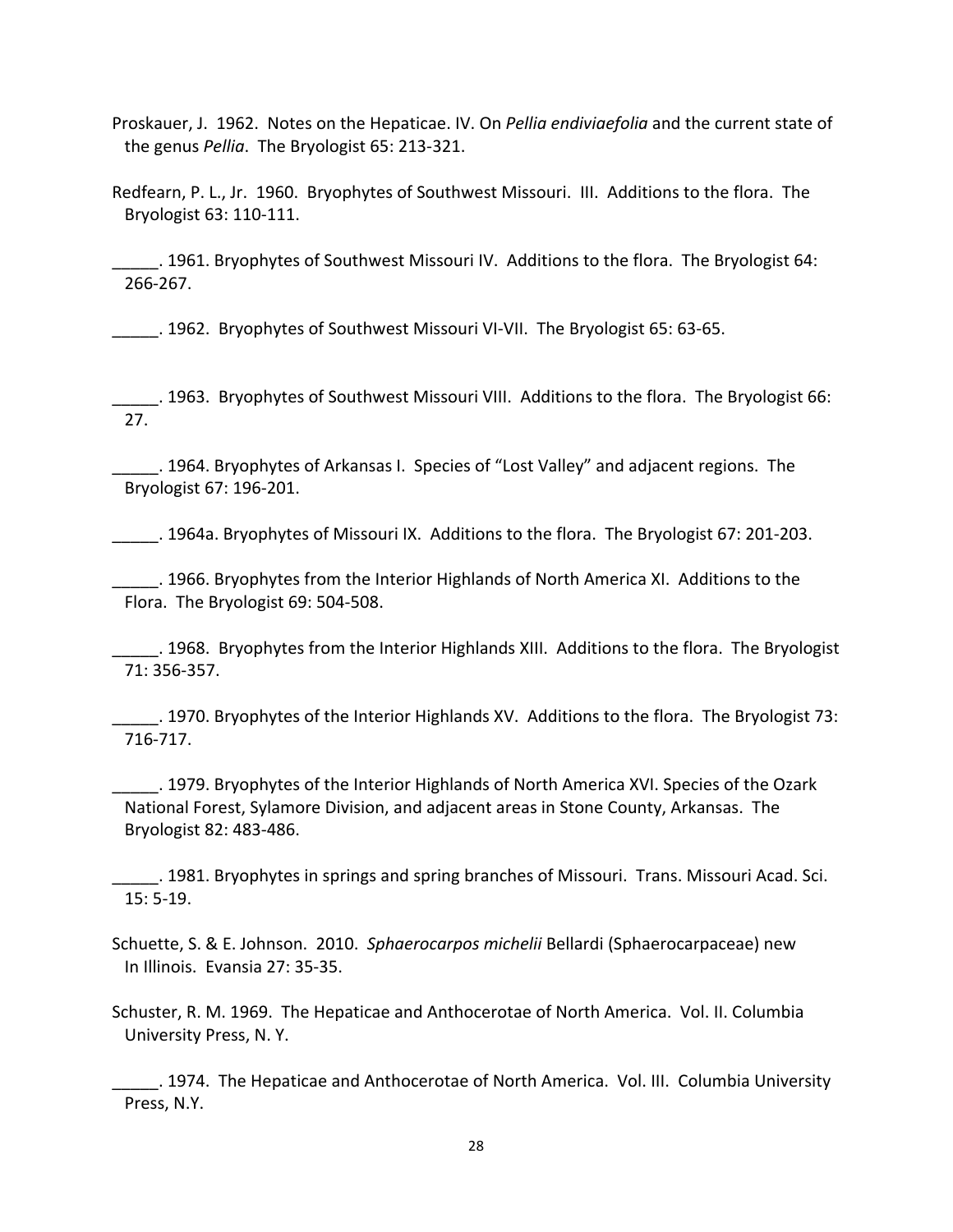Proskauer, J. 1962. Notes on the Hepaticae. IV. On *Pellia endiviaefolia* and the current state of the genus *Pellia*. The Bryologist 65: 213‐321.

Redfearn, P. L., Jr. 1960. Bryophytes of Southwest Missouri. III. Additions to the flora. The Bryologist 63: 110‐111.

\_\_\_\_\_. 1961. Bryophytes of Southwest Missouri IV. Additions to the flora. The Bryologist 64: 266‐267.

\_\_\_\_\_\_. 1962. Bryophytes of Southwest Missouri VI-VII. The Bryologist 65: 63-65.

\_\_\_\_\_. 1963. Bryophytes of Southwest Missouri VIII. Additions to the flora. The Bryologist 66: 27.

**\_\_\_\_\_.** 1964. Bryophytes of Arkansas I. Species of "Lost Valley" and adjacent regions. The Bryologist 67: 196‐201.

\_\_\_\_\_. 1964a. Bryophytes of Missouri IX. Additions to the flora. The Bryologist 67: 201‐203.

**\_\_\_\_\_.** 1966. Bryophytes from the Interior Highlands of North America XI. Additions to the Flora. The Bryologist 69: 504‐508.

\_\_\_\_\_. 1968. Bryophytes from the Interior Highlands XIII. Additions to the flora. The Bryologist 71: 356‐357.

\_\_\_\_\_. 1970. Bryophytes of the Interior Highlands XV. Additions to the flora. The Bryologist 73: 716‐717.

\_\_\_\_\_. 1979. Bryophytes of the Interior Highlands of North America XVI. Species of the Ozark National Forest, Sylamore Division, and adjacent areas in Stone County, Arkansas. The Bryologist 82: 483‐486.

\_\_\_\_\_. 1981. Bryophytes in springs and spring branches of Missouri. Trans. Missouri Acad. Sci. 15: 5‐19.

Schuette, S. & E. Johnson. 2010. *Sphaerocarpos michelii* Bellardi (Sphaerocarpaceae) new In Illinois. Evansia 27: 35‐35.

Schuster, R. M. 1969. The Hepaticae and Anthocerotae of North America. Vol. II. Columbia University Press, N. Y.

\_\_\_\_\_. 1974. The Hepaticae and Anthocerotae of North America. Vol. III. Columbia University Press, N.Y.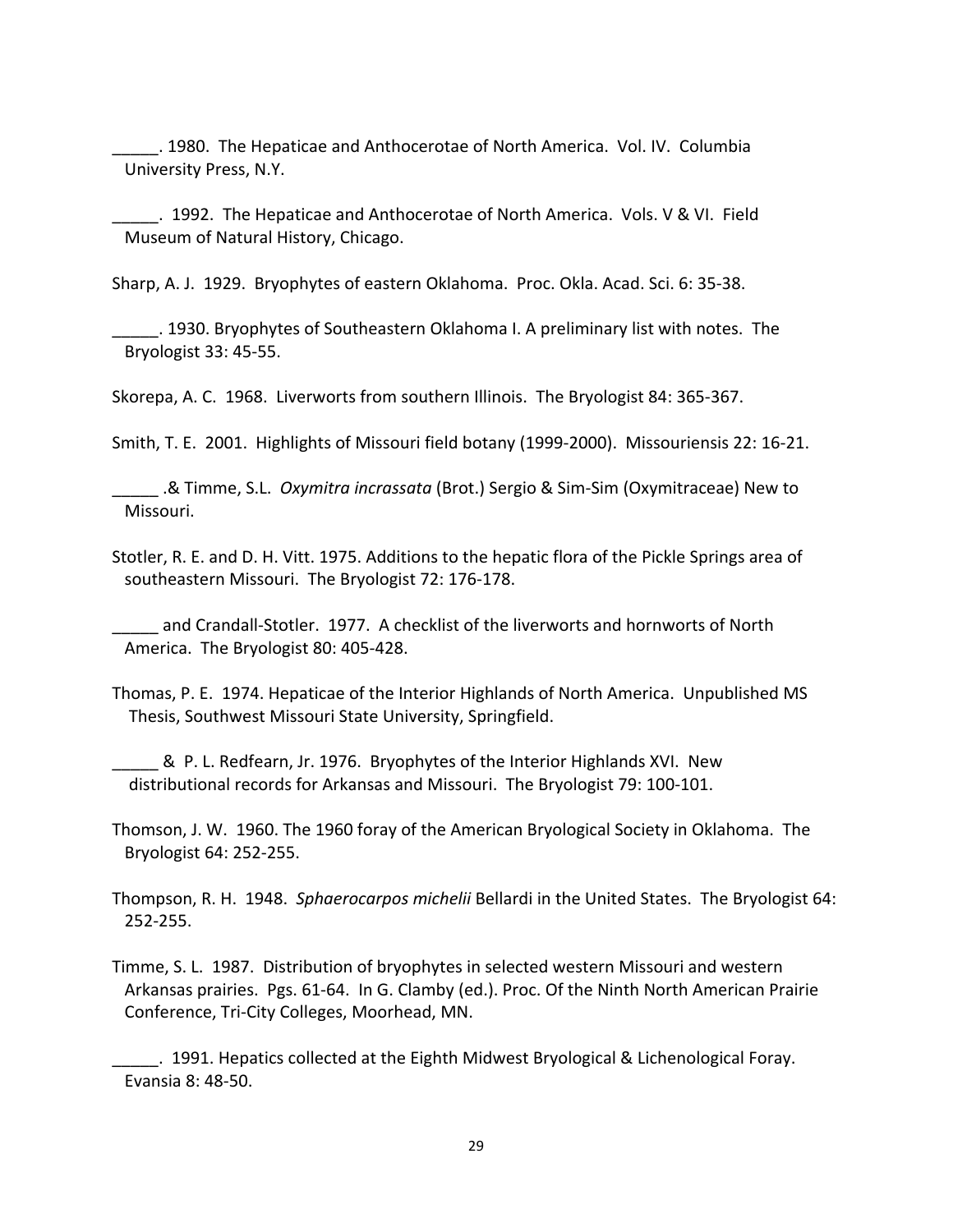\_\_\_\_\_. 1980. The Hepaticae and Anthocerotae of North America. Vol. IV. Columbia University Press, N.Y.

\_\_\_\_\_. 1992. The Hepaticae and Anthocerotae of North America. Vols. V & VI. Field Museum of Natural History, Chicago.

Sharp, A. J. 1929. Bryophytes of eastern Oklahoma. Proc. Okla. Acad. Sci. 6: 35‐38.

\_\_\_\_\_. 1930. Bryophytes of Southeastern Oklahoma I. A preliminary list with notes. The Bryologist 33: 45‐55.

Skorepa, A. C. 1968. Liverworts from southern Illinois. The Bryologist 84: 365‐367.

Smith, T. E. 2001. Highlights of Missouri field botany (1999‐2000). Missouriensis 22: 16‐21.

\_\_\_\_\_ .& Timme, S.L. *Oxymitra incrassata* (Brot.) Sergio & Sim‐Sim (Oxymitraceae) New to Missouri.

Stotler, R. E. and D. H. Vitt. 1975. Additions to the hepatic flora of the Pickle Springs area of southeastern Missouri. The Bryologist 72: 176‐178.

and Crandall‐Stotler. 1977. A checklist of the liverworts and hornworts of North America. The Bryologist 80: 405‐428.

Thomas, P. E. 1974. Hepaticae of the Interior Highlands of North America. Unpublished MS Thesis, Southwest Missouri State University, Springfield.

\_\_\_\_\_ & P. L. Redfearn, Jr. 1976. Bryophytes of the Interior Highlands XVI. New distributional records for Arkansas and Missouri. The Bryologist 79: 100‐101.

Thomson, J. W. 1960. The 1960 foray of the American Bryological Society in Oklahoma. The Bryologist 64: 252‐255.

Thompson, R. H. 1948. *Sphaerocarpos michelii* Bellardi in the United States. The Bryologist 64: 252‐255.

Timme, S. L. 1987. Distribution of bryophytes in selected western Missouri and western Arkansas prairies. Pgs. 61‐64. In G. Clamby (ed.). Proc. Of the Ninth North American Prairie Conference, Tri‐City Colleges, Moorhead, MN.

\_\_\_\_\_. 1991. Hepatics collected at the Eighth Midwest Bryological & Lichenological Foray. Evansia 8: 48‐50.